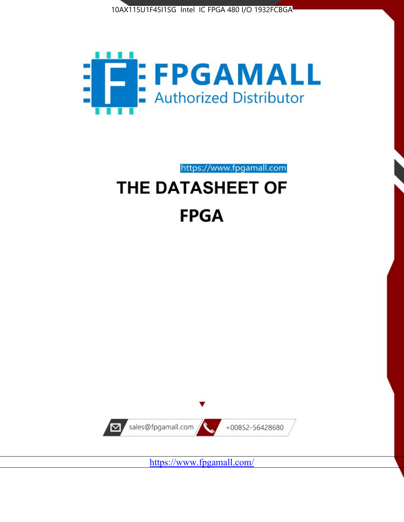



https://www.fpgamall.com

# THE DATASHEET OF **FPGA**



<https://www.fpgamall.com/>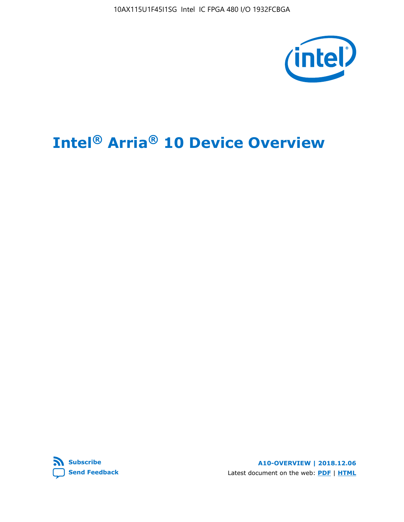10AX115U1F45I1SG Intel IC FPGA 480 I/O 1932FCBGA



# **Intel® Arria® 10 Device Overview**



**A10-OVERVIEW | 2018.12.06** Latest document on the web: **[PDF](https://www.intel.com/content/dam/www/programmable/us/en/pdfs/literature/hb/arria-10/a10_overview.pdf)** | **[HTML](https://www.intel.com/content/www/us/en/programmable/documentation/sam1403480274650.html)**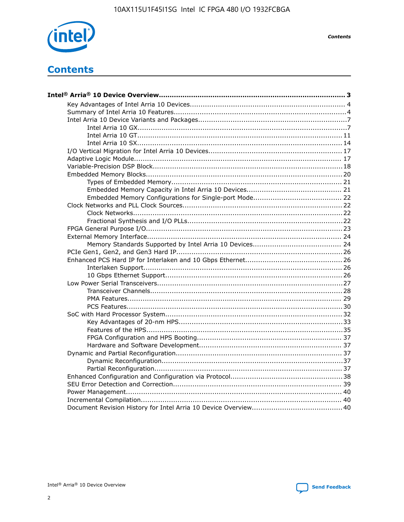

**Contents** 

# **Contents**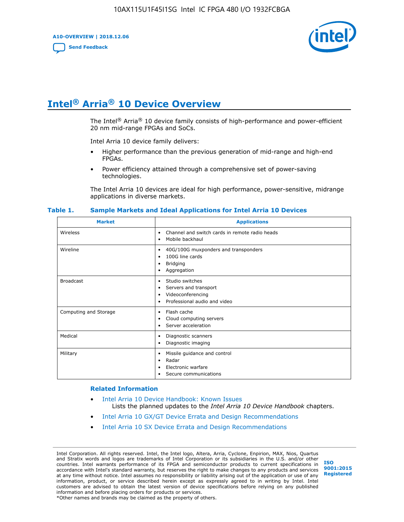**A10-OVERVIEW | 2018.12.06**

**[Send Feedback](mailto:FPGAtechdocfeedback@intel.com?subject=Feedback%20on%20Intel%20Arria%2010%20Device%20Overview%20(A10-OVERVIEW%202018.12.06)&body=We%20appreciate%20your%20feedback.%20In%20your%20comments,%20also%20specify%20the%20page%20number%20or%20paragraph.%20Thank%20you.)**



# **Intel® Arria® 10 Device Overview**

The Intel<sup>®</sup> Arria<sup>®</sup> 10 device family consists of high-performance and power-efficient 20 nm mid-range FPGAs and SoCs.

Intel Arria 10 device family delivers:

- Higher performance than the previous generation of mid-range and high-end FPGAs.
- Power efficiency attained through a comprehensive set of power-saving technologies.

The Intel Arria 10 devices are ideal for high performance, power-sensitive, midrange applications in diverse markets.

| <b>Market</b>         | <b>Applications</b>                                                                                               |
|-----------------------|-------------------------------------------------------------------------------------------------------------------|
| Wireless              | Channel and switch cards in remote radio heads<br>٠<br>Mobile backhaul<br>٠                                       |
| Wireline              | 40G/100G muxponders and transponders<br>٠<br>100G line cards<br>٠<br><b>Bridging</b><br>٠<br>Aggregation<br>٠     |
| <b>Broadcast</b>      | Studio switches<br>٠<br>Servers and transport<br>٠<br>Videoconferencing<br>٠<br>Professional audio and video<br>٠ |
| Computing and Storage | Flash cache<br>٠<br>Cloud computing servers<br>٠<br>Server acceleration<br>٠                                      |
| Medical               | Diagnostic scanners<br>٠<br>Diagnostic imaging<br>٠                                                               |
| Military              | Missile guidance and control<br>٠<br>Radar<br>٠<br>Electronic warfare<br>٠<br>Secure communications<br>٠          |

#### **Table 1. Sample Markets and Ideal Applications for Intel Arria 10 Devices**

#### **Related Information**

- [Intel Arria 10 Device Handbook: Known Issues](http://www.altera.com/support/kdb/solutions/rd07302013_646.html) Lists the planned updates to the *Intel Arria 10 Device Handbook* chapters.
- [Intel Arria 10 GX/GT Device Errata and Design Recommendations](https://www.intel.com/content/www/us/en/programmable/documentation/agz1493851706374.html#yqz1494433888646)
- [Intel Arria 10 SX Device Errata and Design Recommendations](https://www.intel.com/content/www/us/en/programmable/documentation/cru1462832385668.html#cru1462832558642)

Intel Corporation. All rights reserved. Intel, the Intel logo, Altera, Arria, Cyclone, Enpirion, MAX, Nios, Quartus and Stratix words and logos are trademarks of Intel Corporation or its subsidiaries in the U.S. and/or other countries. Intel warrants performance of its FPGA and semiconductor products to current specifications in accordance with Intel's standard warranty, but reserves the right to make changes to any products and services at any time without notice. Intel assumes no responsibility or liability arising out of the application or use of any information, product, or service described herein except as expressly agreed to in writing by Intel. Intel customers are advised to obtain the latest version of device specifications before relying on any published information and before placing orders for products or services. \*Other names and brands may be claimed as the property of others.

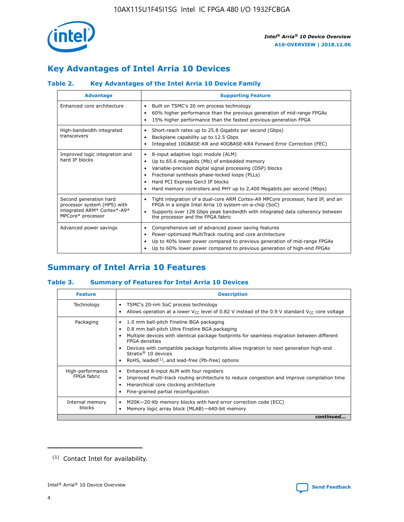

# **Key Advantages of Intel Arria 10 Devices**

# **Table 2. Key Advantages of the Intel Arria 10 Device Family**

| <b>Advantage</b>                                                                                          | <b>Supporting Feature</b>                                                                                                                                                                                                                                                                                                |  |  |  |  |  |  |
|-----------------------------------------------------------------------------------------------------------|--------------------------------------------------------------------------------------------------------------------------------------------------------------------------------------------------------------------------------------------------------------------------------------------------------------------------|--|--|--|--|--|--|
| Enhanced core architecture                                                                                | Built on TSMC's 20 nm process technology<br>٠<br>60% higher performance than the previous generation of mid-range FPGAs<br>٠<br>15% higher performance than the fastest previous-generation FPGA<br>٠                                                                                                                    |  |  |  |  |  |  |
| High-bandwidth integrated<br>transceivers                                                                 | Short-reach rates up to 25.8 Gigabits per second (Gbps)<br>٠<br>Backplane capability up to 12.5 Gbps<br>٠<br>Integrated 10GBASE-KR and 40GBASE-KR4 Forward Error Correction (FEC)<br>٠                                                                                                                                   |  |  |  |  |  |  |
| Improved logic integration and<br>hard IP blocks                                                          | 8-input adaptive logic module (ALM)<br>٠<br>Up to 65.6 megabits (Mb) of embedded memory<br>٠<br>Variable-precision digital signal processing (DSP) blocks<br>Fractional synthesis phase-locked loops (PLLs)<br>Hard PCI Express Gen3 IP blocks<br>Hard memory controllers and PHY up to 2,400 Megabits per second (Mbps) |  |  |  |  |  |  |
| Second generation hard<br>processor system (HPS) with<br>integrated ARM* Cortex*-A9*<br>MPCore* processor | Tight integration of a dual-core ARM Cortex-A9 MPCore processor, hard IP, and an<br>٠<br>FPGA in a single Intel Arria 10 system-on-a-chip (SoC)<br>Supports over 128 Gbps peak bandwidth with integrated data coherency between<br>$\bullet$<br>the processor and the FPGA fabric                                        |  |  |  |  |  |  |
| Advanced power savings                                                                                    | Comprehensive set of advanced power saving features<br>٠<br>Power-optimized MultiTrack routing and core architecture<br>٠<br>Up to 40% lower power compared to previous generation of mid-range FPGAs<br>Up to 60% lower power compared to previous generation of high-end FPGAs                                         |  |  |  |  |  |  |

# **Summary of Intel Arria 10 Features**

## **Table 3. Summary of Features for Intel Arria 10 Devices**

| <b>Feature</b>                  | <b>Description</b>                                                                                                                                                                                                                                                                                                                                                                                 |
|---------------------------------|----------------------------------------------------------------------------------------------------------------------------------------------------------------------------------------------------------------------------------------------------------------------------------------------------------------------------------------------------------------------------------------------------|
| Technology                      | TSMC's 20-nm SoC process technology<br>Allows operation at a lower $V_{\text{CC}}$ level of 0.82 V instead of the 0.9 V standard $V_{\text{CC}}$ core voltage                                                                                                                                                                                                                                      |
| Packaging                       | 1.0 mm ball-pitch Fineline BGA packaging<br>٠<br>0.8 mm ball-pitch Ultra Fineline BGA packaging<br>Multiple devices with identical package footprints for seamless migration between different<br><b>FPGA</b> densities<br>Devices with compatible package footprints allow migration to next generation high-end<br>Stratix $@10$ devices<br>RoHS, leaded $(1)$ , and lead-free (Pb-free) options |
| High-performance<br>FPGA fabric | Enhanced 8-input ALM with four registers<br>Improved multi-track routing architecture to reduce congestion and improve compilation time<br>Hierarchical core clocking architecture<br>Fine-grained partial reconfiguration                                                                                                                                                                         |
| Internal memory<br>blocks       | M20K-20-Kb memory blocks with hard error correction code (ECC)<br>Memory logic array block (MLAB)-640-bit memory                                                                                                                                                                                                                                                                                   |
|                                 | continued                                                                                                                                                                                                                                                                                                                                                                                          |



<sup>(1)</sup> Contact Intel for availability.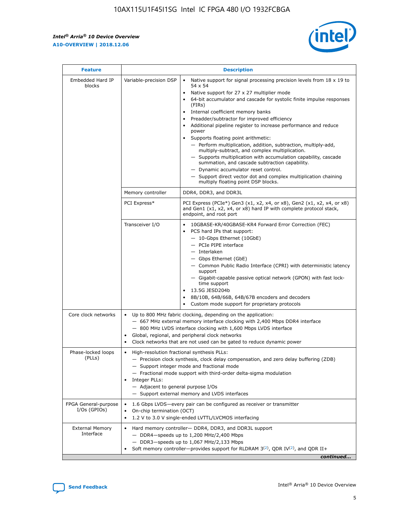r



| <b>Feature</b>                         |                                                                                                                | <b>Description</b>                                                                                                                                                                                                                                                                                                                                                                                                                                                                                                                                                                                                                                                                                                                                                                                                                     |
|----------------------------------------|----------------------------------------------------------------------------------------------------------------|----------------------------------------------------------------------------------------------------------------------------------------------------------------------------------------------------------------------------------------------------------------------------------------------------------------------------------------------------------------------------------------------------------------------------------------------------------------------------------------------------------------------------------------------------------------------------------------------------------------------------------------------------------------------------------------------------------------------------------------------------------------------------------------------------------------------------------------|
| Embedded Hard IP<br>blocks             | Variable-precision DSP                                                                                         | Native support for signal processing precision levels from $18 \times 19$ to<br>54 x 54<br>Native support for 27 x 27 multiplier mode<br>64-bit accumulator and cascade for systolic finite impulse responses<br>(FIRs)<br>Internal coefficient memory banks<br>$\bullet$<br>Preadder/subtractor for improved efficiency<br>Additional pipeline register to increase performance and reduce<br>power<br>Supports floating point arithmetic:<br>- Perform multiplication, addition, subtraction, multiply-add,<br>multiply-subtract, and complex multiplication.<br>- Supports multiplication with accumulation capability, cascade<br>summation, and cascade subtraction capability.<br>- Dynamic accumulator reset control.<br>- Support direct vector dot and complex multiplication chaining<br>multiply floating point DSP blocks. |
|                                        | Memory controller                                                                                              | DDR4, DDR3, and DDR3L                                                                                                                                                                                                                                                                                                                                                                                                                                                                                                                                                                                                                                                                                                                                                                                                                  |
|                                        | PCI Express*                                                                                                   | PCI Express (PCIe*) Gen3 (x1, x2, x4, or x8), Gen2 (x1, x2, x4, or x8)<br>and Gen1 (x1, x2, x4, or x8) hard IP with complete protocol stack,<br>endpoint, and root port                                                                                                                                                                                                                                                                                                                                                                                                                                                                                                                                                                                                                                                                |
|                                        | Transceiver I/O                                                                                                | 10GBASE-KR/40GBASE-KR4 Forward Error Correction (FEC)<br>PCS hard IPs that support:<br>$\bullet$<br>- 10-Gbps Ethernet (10GbE)<br>- PCIe PIPE interface<br>$-$ Interlaken<br>- Gbps Ethernet (GbE)<br>- Common Public Radio Interface (CPRI) with deterministic latency<br>support<br>- Gigabit-capable passive optical network (GPON) with fast lock-<br>time support<br>13.5G JESD204b<br>$\bullet$<br>8B/10B, 64B/66B, 64B/67B encoders and decoders<br>Custom mode support for proprietary protocols                                                                                                                                                                                                                                                                                                                               |
| Core clock networks                    | $\bullet$<br>$\bullet$                                                                                         | Up to 800 MHz fabric clocking, depending on the application:<br>- 667 MHz external memory interface clocking with 2,400 Mbps DDR4 interface<br>- 800 MHz LVDS interface clocking with 1,600 Mbps LVDS interface<br>Global, regional, and peripheral clock networks<br>Clock networks that are not used can be gated to reduce dynamic power                                                                                                                                                                                                                                                                                                                                                                                                                                                                                            |
| Phase-locked loops<br>(PLLs)           | High-resolution fractional synthesis PLLs:<br>$\bullet$<br>Integer PLLs:<br>- Adjacent to general purpose I/Os | - Precision clock synthesis, clock delay compensation, and zero delay buffering (ZDB)<br>- Support integer mode and fractional mode<br>- Fractional mode support with third-order delta-sigma modulation<br>- Support external memory and LVDS interfaces                                                                                                                                                                                                                                                                                                                                                                                                                                                                                                                                                                              |
| FPGA General-purpose<br>$I/Os$ (GPIOs) | On-chip termination (OCT)                                                                                      | 1.6 Gbps LVDS-every pair can be configured as receiver or transmitter<br>1.2 V to 3.0 V single-ended LVTTL/LVCMOS interfacing                                                                                                                                                                                                                                                                                                                                                                                                                                                                                                                                                                                                                                                                                                          |
| <b>External Memory</b><br>Interface    |                                                                                                                | Hard memory controller- DDR4, DDR3, and DDR3L support<br>$-$ DDR4-speeds up to 1,200 MHz/2,400 Mbps<br>- DDR3-speeds up to 1,067 MHz/2,133 Mbps<br>Soft memory controller—provides support for RLDRAM $3^{(2)}$ , QDR IV $^{(2)}$ , and QDR II+<br>continued                                                                                                                                                                                                                                                                                                                                                                                                                                                                                                                                                                           |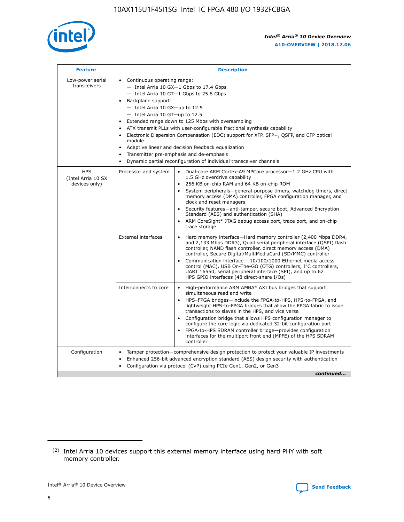

| <b>Feature</b>                                    | <b>Description</b>                                                                                                                                                                                                                                                                                                                                                                                                                                                                                                                                                                                                                             |
|---------------------------------------------------|------------------------------------------------------------------------------------------------------------------------------------------------------------------------------------------------------------------------------------------------------------------------------------------------------------------------------------------------------------------------------------------------------------------------------------------------------------------------------------------------------------------------------------------------------------------------------------------------------------------------------------------------|
| Low-power serial<br>transceivers                  | • Continuous operating range:<br>- Intel Arria 10 GX-1 Gbps to 17.4 Gbps<br>- Intel Arria 10 GT-1 Gbps to 25.8 Gbps<br>Backplane support:<br>$-$ Intel Arria 10 GX-up to 12.5<br>$-$ Intel Arria 10 GT-up to 12.5<br>Extended range down to 125 Mbps with oversampling<br>ATX transmit PLLs with user-configurable fractional synthesis capability<br>• Electronic Dispersion Compensation (EDC) support for XFP, SFP+, QSFP, and CFP optical<br>module<br>• Adaptive linear and decision feedback equalization<br>Transmitter pre-emphasis and de-emphasis<br>$\bullet$<br>Dynamic partial reconfiguration of individual transceiver channels |
| <b>HPS</b><br>(Intel Arria 10 SX<br>devices only) | Processor and system<br>Dual-core ARM Cortex-A9 MPCore processor-1.2 GHz CPU with<br>$\bullet$<br>1.5 GHz overdrive capability<br>256 KB on-chip RAM and 64 KB on-chip ROM<br>$\bullet$<br>System peripherals-general-purpose timers, watchdog timers, direct<br>memory access (DMA) controller, FPGA configuration manager, and<br>clock and reset managers<br>• Security features—anti-tamper, secure boot, Advanced Encryption<br>Standard (AES) and authentication (SHA)<br>ARM CoreSight* JTAG debug access port, trace port, and on-chip<br>trace storage                                                                                |
|                                                   | <b>External interfaces</b><br>Hard memory interface—Hard memory controller (2,400 Mbps DDR4,<br>$\bullet$<br>and 2,133 Mbps DDR3), Quad serial peripheral interface (QSPI) flash<br>controller, NAND flash controller, direct memory access (DMA)<br>controller, Secure Digital/MultiMediaCard (SD/MMC) controller<br>Communication interface-10/100/1000 Ethernet media access<br>control (MAC), USB On-The-GO (OTG) controllers, I <sup>2</sup> C controllers,<br>UART 16550, serial peripheral interface (SPI), and up to 62<br>HPS GPIO interfaces (48 direct-share I/Os)                                                                  |
|                                                   | High-performance ARM AMBA* AXI bus bridges that support<br>Interconnects to core<br>$\bullet$<br>simultaneous read and write<br>HPS-FPGA bridges—include the FPGA-to-HPS, HPS-to-FPGA, and<br>$\bullet$<br>lightweight HPS-to-FPGA bridges that allow the FPGA fabric to issue<br>transactions to slaves in the HPS, and vice versa<br>Configuration bridge that allows HPS configuration manager to<br>configure the core logic via dedicated 32-bit configuration port<br>FPGA-to-HPS SDRAM controller bridge-provides configuration<br>interfaces for the multiport front end (MPFE) of the HPS SDRAM<br>controller                         |
| Configuration                                     | Tamper protection—comprehensive design protection to protect your valuable IP investments<br>Enhanced 256-bit advanced encryption standard (AES) design security with authentication<br>$\bullet$<br>Configuration via protocol (CvP) using PCIe Gen1, Gen2, or Gen3<br>continued                                                                                                                                                                                                                                                                                                                                                              |

<sup>(2)</sup> Intel Arria 10 devices support this external memory interface using hard PHY with soft memory controller.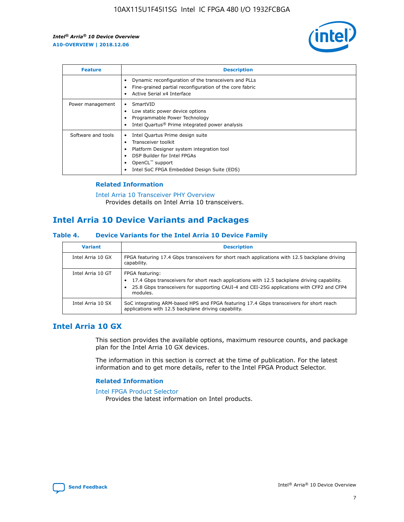

| <b>Feature</b>     | <b>Description</b>                                                                                                                                                                                               |
|--------------------|------------------------------------------------------------------------------------------------------------------------------------------------------------------------------------------------------------------|
|                    | Dynamic reconfiguration of the transceivers and PLLs<br>Fine-grained partial reconfiguration of the core fabric<br>Active Serial x4 Interface<br>$\bullet$                                                       |
| Power management   | SmartVID<br>Low static power device options<br>Programmable Power Technology<br>Intel Quartus <sup>®</sup> Prime integrated power analysis                                                                       |
| Software and tools | Intel Quartus Prime design suite<br>Transceiver toolkit<br>Platform Designer system integration tool<br>DSP Builder for Intel FPGAs<br>OpenCL <sup>™</sup> support<br>Intel SoC FPGA Embedded Design Suite (EDS) |

## **Related Information**

[Intel Arria 10 Transceiver PHY Overview](https://www.intel.com/content/www/us/en/programmable/documentation/nik1398707230472.html#nik1398706768037) Provides details on Intel Arria 10 transceivers.

# **Intel Arria 10 Device Variants and Packages**

#### **Table 4. Device Variants for the Intel Arria 10 Device Family**

| <b>Variant</b>    | <b>Description</b>                                                                                                                                                                                                     |
|-------------------|------------------------------------------------------------------------------------------------------------------------------------------------------------------------------------------------------------------------|
| Intel Arria 10 GX | FPGA featuring 17.4 Gbps transceivers for short reach applications with 12.5 backplane driving<br>capability.                                                                                                          |
| Intel Arria 10 GT | FPGA featuring:<br>17.4 Gbps transceivers for short reach applications with 12.5 backplane driving capability.<br>25.8 Gbps transceivers for supporting CAUI-4 and CEI-25G applications with CFP2 and CFP4<br>modules. |
| Intel Arria 10 SX | SoC integrating ARM-based HPS and FPGA featuring 17.4 Gbps transceivers for short reach<br>applications with 12.5 backplane driving capability.                                                                        |

# **Intel Arria 10 GX**

This section provides the available options, maximum resource counts, and package plan for the Intel Arria 10 GX devices.

The information in this section is correct at the time of publication. For the latest information and to get more details, refer to the Intel FPGA Product Selector.

#### **Related Information**

#### [Intel FPGA Product Selector](http://www.altera.com/products/selector/psg-selector.html) Provides the latest information on Intel products.

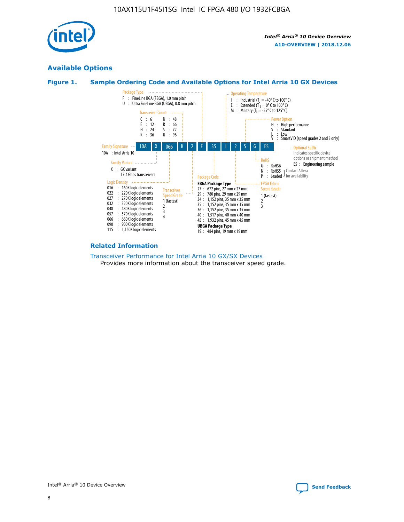

# **Available Options**





#### **Related Information**

#### [Transceiver Performance for Intel Arria 10 GX/SX Devices](https://www.intel.com/content/www/us/en/programmable/documentation/mcn1413182292568.html#mcn1413213965502) Provides more information about the transceiver speed grade.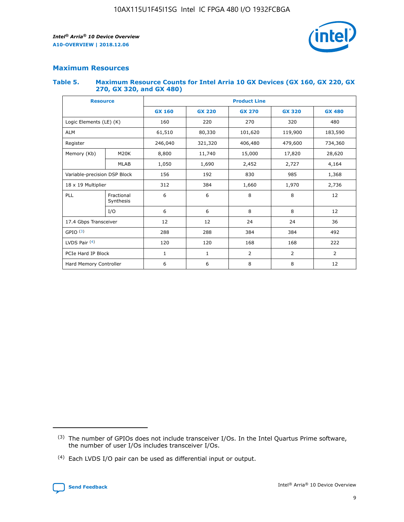

## **Maximum Resources**

#### **Table 5. Maximum Resource Counts for Intel Arria 10 GX Devices (GX 160, GX 220, GX 270, GX 320, and GX 480)**

| <b>Resource</b>         |                              | <b>Product Line</b> |                                                 |                |                |                |  |  |
|-------------------------|------------------------------|---------------------|-------------------------------------------------|----------------|----------------|----------------|--|--|
|                         |                              | <b>GX 160</b>       | <b>GX 220</b><br><b>GX 270</b><br><b>GX 320</b> |                |                | <b>GX 480</b>  |  |  |
| Logic Elements (LE) (K) |                              | 160                 | 220                                             | 270            | 320            | 480            |  |  |
| <b>ALM</b>              |                              | 61,510              | 80,330                                          | 101,620        | 119,900        | 183,590        |  |  |
| Register                |                              | 246,040             | 321,320                                         | 406,480        | 479,600        | 734,360        |  |  |
| Memory (Kb)             | M <sub>20</sub> K            | 8,800               | 11,740                                          | 15,000         | 17,820         | 28,620         |  |  |
|                         | <b>MLAB</b>                  | 1,050               | 1,690                                           | 2,452          | 2,727          | 4,164          |  |  |
|                         | Variable-precision DSP Block |                     | 192                                             | 830<br>985     |                | 1,368          |  |  |
| 18 x 19 Multiplier      |                              | 312                 | 384                                             | 1,970<br>1,660 |                | 2,736          |  |  |
| PLL                     | Fractional<br>Synthesis      | 6                   | 6                                               | 8              | 8              | 12             |  |  |
|                         | I/O                          | 6                   | 6                                               | 8              | 8              | 12             |  |  |
| 17.4 Gbps Transceiver   |                              | 12                  | 12                                              | 24             | 24             | 36             |  |  |
| GPIO <sup>(3)</sup>     |                              | 288                 | 288                                             | 384            | 384            | 492            |  |  |
| LVDS Pair $(4)$         |                              | 120                 | 120                                             | 168            | 168            | 222            |  |  |
| PCIe Hard IP Block      |                              | 1                   | 1                                               | 2              | $\overline{2}$ | $\overline{2}$ |  |  |
| Hard Memory Controller  |                              | 6                   | 6                                               | 8              | 8              | 12             |  |  |

<sup>(4)</sup> Each LVDS I/O pair can be used as differential input or output.



<sup>(3)</sup> The number of GPIOs does not include transceiver I/Os. In the Intel Quartus Prime software, the number of user I/Os includes transceiver I/Os.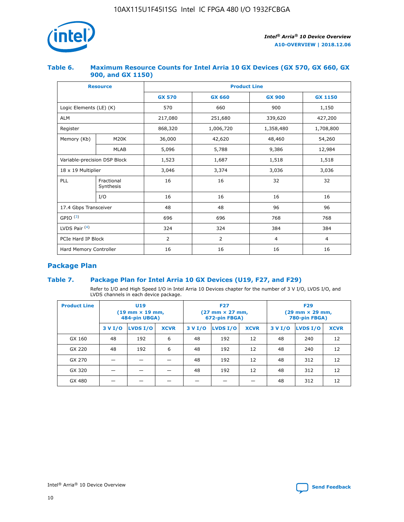

## **Table 6. Maximum Resource Counts for Intel Arria 10 GX Devices (GX 570, GX 660, GX 900, and GX 1150)**

|                              | <b>Resource</b>         | <b>Product Line</b> |                |                |                |  |  |  |
|------------------------------|-------------------------|---------------------|----------------|----------------|----------------|--|--|--|
|                              |                         | <b>GX 570</b>       | <b>GX 660</b>  |                | <b>GX 1150</b> |  |  |  |
| Logic Elements (LE) (K)      |                         | 570                 | 660            | 900            | 1,150          |  |  |  |
| <b>ALM</b>                   |                         | 217,080             | 251,680        | 339,620        | 427,200        |  |  |  |
| Register                     |                         | 868,320             | 1,006,720      | 1,358,480      | 1,708,800      |  |  |  |
| Memory (Kb)                  | <b>M20K</b>             | 36,000              | 42,620         | 48,460         | 54,260         |  |  |  |
|                              | <b>MLAB</b>             | 5,096               | 5,788          | 9,386          | 12,984         |  |  |  |
| Variable-precision DSP Block |                         | 1,523               | 1,687          | 1,518          | 1,518          |  |  |  |
| $18 \times 19$ Multiplier    |                         | 3,046               | 3,374          | 3,036          | 3,036          |  |  |  |
| PLL                          | Fractional<br>Synthesis | 16                  | 16             | 32             | 32             |  |  |  |
|                              | I/O                     | 16                  | 16             | 16             | 16             |  |  |  |
| 17.4 Gbps Transceiver        |                         | 48                  | 48             |                | 96             |  |  |  |
| GPIO <sup>(3)</sup>          |                         | 696                 | 696            | 768            | 768            |  |  |  |
| LVDS Pair $(4)$              |                         | 324                 | 324<br>384     |                | 384            |  |  |  |
| PCIe Hard IP Block           |                         | 2                   | $\overline{2}$ | $\overline{4}$ | 4              |  |  |  |
| Hard Memory Controller       |                         | 16                  | 16             | 16             | 16             |  |  |  |

# **Package Plan**

# **Table 7. Package Plan for Intel Arria 10 GX Devices (U19, F27, and F29)**

Refer to I/O and High Speed I/O in Intel Arria 10 Devices chapter for the number of 3 V I/O, LVDS I/O, and LVDS channels in each device package.

| <b>Product Line</b> | U <sub>19</sub><br>$(19 \text{ mm} \times 19 \text{ mm})$<br>484-pin UBGA) |          |             |         | <b>F27</b><br>(27 mm × 27 mm,<br>672-pin FBGA) |             | <b>F29</b><br>(29 mm × 29 mm,<br>780-pin FBGA) |          |             |  |
|---------------------|----------------------------------------------------------------------------|----------|-------------|---------|------------------------------------------------|-------------|------------------------------------------------|----------|-------------|--|
|                     | 3 V I/O                                                                    | LVDS I/O | <b>XCVR</b> | 3 V I/O | LVDS I/O                                       | <b>XCVR</b> | 3 V I/O                                        | LVDS I/O | <b>XCVR</b> |  |
| GX 160              | 48                                                                         | 192      | 6           | 48      | 192                                            | 12          | 48                                             | 240      | 12          |  |
| GX 220              | 48                                                                         | 192      | 6           | 48      | 192                                            | 12          | 48                                             | 240      | 12          |  |
| GX 270              |                                                                            |          |             | 48      | 192                                            | 12          | 48                                             | 312      | 12          |  |
| GX 320              |                                                                            |          |             | 48      | 192                                            | 12          | 48                                             | 312      | 12          |  |
| GX 480              |                                                                            |          |             |         |                                                |             | 48                                             | 312      | 12          |  |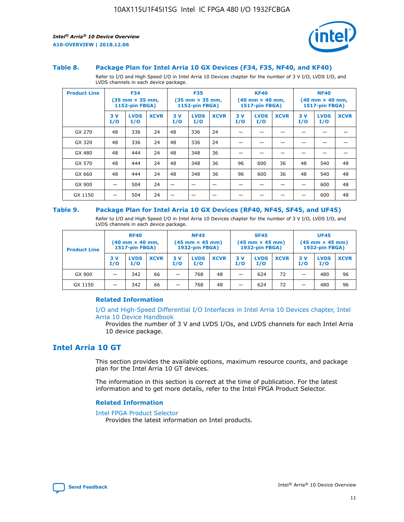

#### **Table 8. Package Plan for Intel Arria 10 GX Devices (F34, F35, NF40, and KF40)**

Refer to I/O and High Speed I/O in Intel Arria 10 Devices chapter for the number of 3 V I/O, LVDS I/O, and LVDS channels in each device package.

| <b>Product Line</b> | <b>F34</b><br>$(35 \text{ mm} \times 35 \text{ mm})$<br><b>1152-pin FBGA)</b> |                    | <b>F35</b><br>$(35 \text{ mm} \times 35 \text{ mm})$<br><b>1152-pin FBGA)</b> |           | <b>KF40</b><br>$(40$ mm $\times$ 40 mm,<br>1517-pin FBGA) |             |           | <b>NF40</b><br>$(40 \text{ mm} \times 40 \text{ mm})$<br>1517-pin FBGA) |             |           |                    |             |
|---------------------|-------------------------------------------------------------------------------|--------------------|-------------------------------------------------------------------------------|-----------|-----------------------------------------------------------|-------------|-----------|-------------------------------------------------------------------------|-------------|-----------|--------------------|-------------|
|                     | 3V<br>I/O                                                                     | <b>LVDS</b><br>I/O | <b>XCVR</b>                                                                   | 3V<br>I/O | <b>LVDS</b><br>I/O                                        | <b>XCVR</b> | 3V<br>I/O | <b>LVDS</b><br>I/O                                                      | <b>XCVR</b> | 3V<br>I/O | <b>LVDS</b><br>I/O | <b>XCVR</b> |
| GX 270              | 48                                                                            | 336                | 24                                                                            | 48        | 336                                                       | 24          |           |                                                                         |             |           |                    |             |
| GX 320              | 48                                                                            | 336                | 24                                                                            | 48        | 336                                                       | 24          |           |                                                                         |             |           |                    |             |
| GX 480              | 48                                                                            | 444                | 24                                                                            | 48        | 348                                                       | 36          |           |                                                                         |             |           |                    |             |
| GX 570              | 48                                                                            | 444                | 24                                                                            | 48        | 348                                                       | 36          | 96        | 600                                                                     | 36          | 48        | 540                | 48          |
| GX 660              | 48                                                                            | 444                | 24                                                                            | 48        | 348                                                       | 36          | 96        | 600                                                                     | 36          | 48        | 540                | 48          |
| GX 900              |                                                                               | 504                | 24                                                                            | –         |                                                           | -           |           |                                                                         |             |           | 600                | 48          |
| GX 1150             |                                                                               | 504                | 24                                                                            |           |                                                           |             |           |                                                                         |             |           | 600                | 48          |

#### **Table 9. Package Plan for Intel Arria 10 GX Devices (RF40, NF45, SF45, and UF45)**

Refer to I/O and High Speed I/O in Intel Arria 10 Devices chapter for the number of 3 V I/O, LVDS I/O, and LVDS channels in each device package.

| <b>Product Line</b> | <b>RF40</b><br>$(40$ mm $\times$ 40 mm,<br>1517-pin FBGA) |                    | <b>NF45</b><br>$(45 \text{ mm} \times 45 \text{ mm})$<br><b>1932-pin FBGA)</b> |            |                    | <b>SF45</b><br>$(45 \text{ mm} \times 45 \text{ mm})$<br><b>1932-pin FBGA)</b> |            |                    | <b>UF45</b><br>$(45 \text{ mm} \times 45 \text{ mm})$<br><b>1932-pin FBGA)</b> |           |                    |             |
|---------------------|-----------------------------------------------------------|--------------------|--------------------------------------------------------------------------------|------------|--------------------|--------------------------------------------------------------------------------|------------|--------------------|--------------------------------------------------------------------------------|-----------|--------------------|-------------|
|                     | 3V<br>I/O                                                 | <b>LVDS</b><br>I/O | <b>XCVR</b>                                                                    | 3 V<br>I/O | <b>LVDS</b><br>I/O | <b>XCVR</b>                                                                    | 3 V<br>I/O | <b>LVDS</b><br>I/O | <b>XCVR</b>                                                                    | 3V<br>I/O | <b>LVDS</b><br>I/O | <b>XCVR</b> |
| GX 900              |                                                           | 342                | 66                                                                             | _          | 768                | 48                                                                             |            | 624                | 72                                                                             |           | 480                | 96          |
| GX 1150             |                                                           | 342                | 66                                                                             | _          | 768                | 48                                                                             |            | 624                | 72                                                                             |           | 480                | 96          |

## **Related Information**

[I/O and High-Speed Differential I/O Interfaces in Intel Arria 10 Devices chapter, Intel](https://www.intel.com/content/www/us/en/programmable/documentation/sam1403482614086.html#sam1403482030321) [Arria 10 Device Handbook](https://www.intel.com/content/www/us/en/programmable/documentation/sam1403482614086.html#sam1403482030321)

Provides the number of 3 V and LVDS I/Os, and LVDS channels for each Intel Arria 10 device package.

# **Intel Arria 10 GT**

This section provides the available options, maximum resource counts, and package plan for the Intel Arria 10 GT devices.

The information in this section is correct at the time of publication. For the latest information and to get more details, refer to the Intel FPGA Product Selector.

#### **Related Information**

#### [Intel FPGA Product Selector](http://www.altera.com/products/selector/psg-selector.html)

Provides the latest information on Intel products.

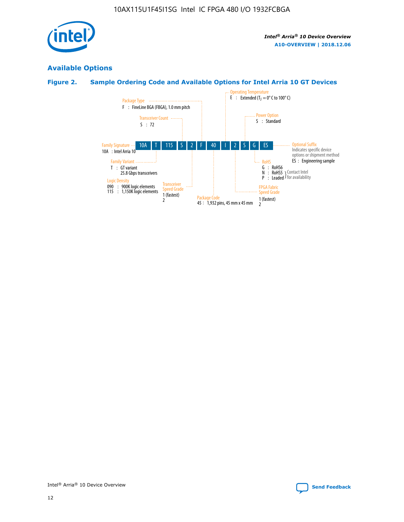

# **Available Options**

# **Figure 2. Sample Ordering Code and Available Options for Intel Arria 10 GT Devices**

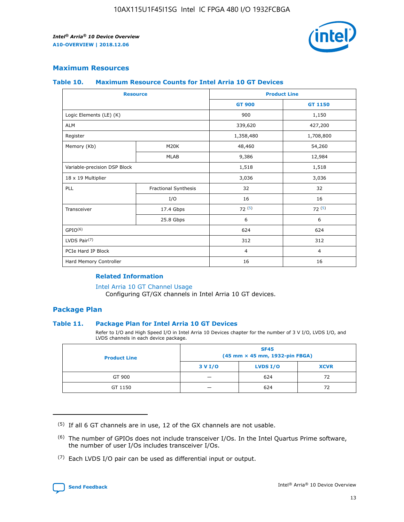

## **Maximum Resources**

#### **Table 10. Maximum Resource Counts for Intel Arria 10 GT Devices**

|                              | <b>Resource</b>      | <b>Product Line</b> |                |  |
|------------------------------|----------------------|---------------------|----------------|--|
|                              |                      | <b>GT 900</b>       | GT 1150        |  |
| Logic Elements (LE) (K)      |                      | 900                 | 1,150          |  |
| <b>ALM</b>                   |                      | 339,620             | 427,200        |  |
| Register                     |                      | 1,358,480           | 1,708,800      |  |
| Memory (Kb)                  | M20K                 | 48,460              | 54,260         |  |
|                              | <b>MLAB</b>          | 9,386               | 12,984         |  |
| Variable-precision DSP Block |                      | 1,518               | 1,518          |  |
| 18 x 19 Multiplier           |                      | 3,036               | 3,036          |  |
| <b>PLL</b>                   | Fractional Synthesis | 32                  | 32             |  |
|                              | I/O                  | 16                  | 16             |  |
| Transceiver                  | 17.4 Gbps            | 72(5)               | 72(5)          |  |
|                              | 25.8 Gbps            | 6                   | 6              |  |
| GPIO <sup>(6)</sup>          |                      | 624                 | 624            |  |
| LVDS Pair $(7)$              |                      | 312                 | 312            |  |
| PCIe Hard IP Block           |                      | $\overline{4}$      | $\overline{4}$ |  |
| Hard Memory Controller       |                      | 16                  | 16             |  |

## **Related Information**

#### [Intel Arria 10 GT Channel Usage](https://www.intel.com/content/www/us/en/programmable/documentation/nik1398707230472.html#nik1398707008178)

Configuring GT/GX channels in Intel Arria 10 GT devices.

## **Package Plan**

## **Table 11. Package Plan for Intel Arria 10 GT Devices**

Refer to I/O and High Speed I/O in Intel Arria 10 Devices chapter for the number of 3 V I/O, LVDS I/O, and LVDS channels in each device package.

| <b>Product Line</b> | <b>SF45</b><br>(45 mm × 45 mm, 1932-pin FBGA) |                 |             |  |  |  |
|---------------------|-----------------------------------------------|-----------------|-------------|--|--|--|
|                     | 3 V I/O                                       | <b>LVDS I/O</b> | <b>XCVR</b> |  |  |  |
| GT 900              |                                               | 624             | 72          |  |  |  |
| GT 1150             |                                               | 624             | 72          |  |  |  |

<sup>(7)</sup> Each LVDS I/O pair can be used as differential input or output.



 $(5)$  If all 6 GT channels are in use, 12 of the GX channels are not usable.

<sup>(6)</sup> The number of GPIOs does not include transceiver I/Os. In the Intel Quartus Prime software, the number of user I/Os includes transceiver I/Os.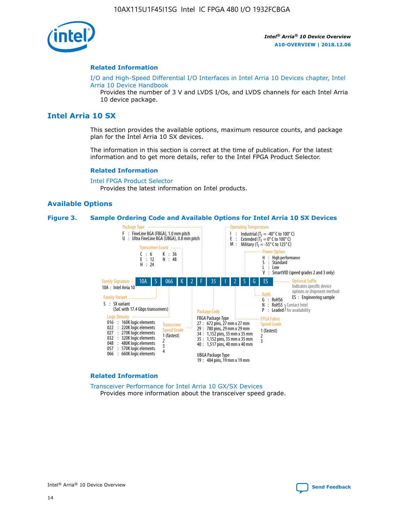

#### **Related Information**

[I/O and High-Speed Differential I/O Interfaces in Intel Arria 10 Devices chapter, Intel](https://www.intel.com/content/www/us/en/programmable/documentation/sam1403482614086.html#sam1403482030321) [Arria 10 Device Handbook](https://www.intel.com/content/www/us/en/programmable/documentation/sam1403482614086.html#sam1403482030321)

Provides the number of 3 V and LVDS I/Os, and LVDS channels for each Intel Arria 10 device package.

# **Intel Arria 10 SX**

This section provides the available options, maximum resource counts, and package plan for the Intel Arria 10 SX devices.

The information in this section is correct at the time of publication. For the latest information and to get more details, refer to the Intel FPGA Product Selector.

#### **Related Information**

[Intel FPGA Product Selector](http://www.altera.com/products/selector/psg-selector.html) Provides the latest information on Intel products.

#### **Available Options**

#### **Figure 3. Sample Ordering Code and Available Options for Intel Arria 10 SX Devices**



#### **Related Information**

[Transceiver Performance for Intel Arria 10 GX/SX Devices](https://www.intel.com/content/www/us/en/programmable/documentation/mcn1413182292568.html#mcn1413213965502) Provides more information about the transceiver speed grade.

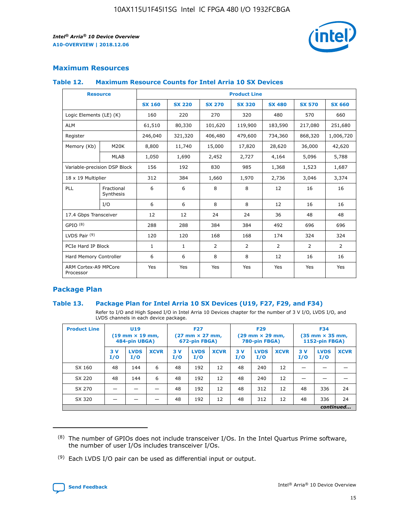

# **Maximum Resources**

## **Table 12. Maximum Resource Counts for Intel Arria 10 SX Devices**

| <b>Resource</b>                   |                         | <b>Product Line</b> |               |                |                |                |                |                |  |  |  |
|-----------------------------------|-------------------------|---------------------|---------------|----------------|----------------|----------------|----------------|----------------|--|--|--|
|                                   |                         | <b>SX 160</b>       | <b>SX 220</b> | <b>SX 270</b>  | <b>SX 320</b>  | <b>SX 480</b>  | <b>SX 570</b>  | <b>SX 660</b>  |  |  |  |
| Logic Elements (LE) (K)           |                         | 160                 | 220           | 270            | 320            | 480            | 570            | 660            |  |  |  |
| <b>ALM</b>                        |                         | 61,510              | 80,330        | 101,620        | 119,900        | 183,590        | 217,080        | 251,680        |  |  |  |
| Register                          |                         | 246,040             | 321,320       | 406,480        | 479,600        | 734,360        | 868,320        | 1,006,720      |  |  |  |
| Memory (Kb)                       | M <sub>20</sub> K       | 8,800               | 11,740        | 15,000         | 17,820         | 28,620         | 36,000         | 42,620         |  |  |  |
|                                   | <b>MLAB</b>             | 1,050               | 1,690         | 2,452          | 2,727          | 4,164          | 5,096          | 5,788          |  |  |  |
| Variable-precision DSP Block      |                         | 156                 | 192           | 830            | 985            | 1,368          | 1,523          | 1,687          |  |  |  |
| 18 x 19 Multiplier                |                         | 312                 | 384           | 1,660          | 1,970          | 2,736          | 3,046          | 3,374          |  |  |  |
| PLL                               | Fractional<br>Synthesis | 6                   | 6             | 8              | 8              | 12             | 16             | 16             |  |  |  |
|                                   | I/O                     | 6                   | 6             | 8              | 8              | 12             | 16             | 16             |  |  |  |
| 17.4 Gbps Transceiver             |                         | 12                  | 12            | 24             | 24             | 36             | 48             | 48             |  |  |  |
| GPIO <sup>(8)</sup>               |                         | 288                 | 288           | 384            | 384            | 492            | 696            | 696            |  |  |  |
| LVDS Pair $(9)$                   |                         | 120                 | 120           | 168            | 168            | 174            | 324            | 324            |  |  |  |
| PCIe Hard IP Block                |                         | $\mathbf{1}$        | $\mathbf{1}$  | $\overline{2}$ | $\overline{2}$ | $\overline{2}$ | $\overline{2}$ | $\overline{2}$ |  |  |  |
| Hard Memory Controller            |                         | 6                   | 6             | 8              | 8              | 12             | 16             | 16             |  |  |  |
| ARM Cortex-A9 MPCore<br>Processor |                         | Yes                 | Yes           | Yes            | Yes            | Yes            | Yes            | <b>Yes</b>     |  |  |  |

# **Package Plan**

## **Table 13. Package Plan for Intel Arria 10 SX Devices (U19, F27, F29, and F34)**

Refer to I/O and High Speed I/O in Intel Arria 10 Devices chapter for the number of 3 V I/O, LVDS I/O, and LVDS channels in each device package.

| <b>Product Line</b> | U19<br>$(19 \text{ mm} \times 19 \text{ mm})$<br>484-pin UBGA) |                    | <b>F27</b><br>$(27 \text{ mm} \times 27 \text{ mm})$<br>672-pin FBGA) |           | <b>F29</b><br>$(29 \text{ mm} \times 29 \text{ mm})$<br>780-pin FBGA) |             |            | <b>F34</b><br>$(35 \text{ mm} \times 35 \text{ mm})$<br><b>1152-pin FBGA)</b> |             |           |                    |             |
|---------------------|----------------------------------------------------------------|--------------------|-----------------------------------------------------------------------|-----------|-----------------------------------------------------------------------|-------------|------------|-------------------------------------------------------------------------------|-------------|-----------|--------------------|-------------|
|                     | 3V<br>I/O                                                      | <b>LVDS</b><br>I/O | <b>XCVR</b>                                                           | 3V<br>I/O | <b>LVDS</b><br>I/O                                                    | <b>XCVR</b> | 3 V<br>I/O | <b>LVDS</b><br>I/O                                                            | <b>XCVR</b> | 3V<br>I/O | <b>LVDS</b><br>I/O | <b>XCVR</b> |
| SX 160              | 48                                                             | 144                | 6                                                                     | 48        | 192                                                                   | 12          | 48         | 240                                                                           | 12          | –         |                    |             |
| SX 220              | 48                                                             | 144                | 6                                                                     | 48        | 192                                                                   | 12          | 48         | 240                                                                           | 12          |           |                    |             |
| SX 270              |                                                                |                    |                                                                       | 48        | 192                                                                   | 12          | 48         | 312                                                                           | 12          | 48        | 336                | 24          |
| SX 320              |                                                                |                    |                                                                       | 48        | 192                                                                   | 12          | 48         | 312                                                                           | 12          | 48        | 336                | 24          |
|                     | continued                                                      |                    |                                                                       |           |                                                                       |             |            |                                                                               |             |           |                    |             |

 $(8)$  The number of GPIOs does not include transceiver I/Os. In the Intel Quartus Prime software, the number of user I/Os includes transceiver I/Os.

 $(9)$  Each LVDS I/O pair can be used as differential input or output.

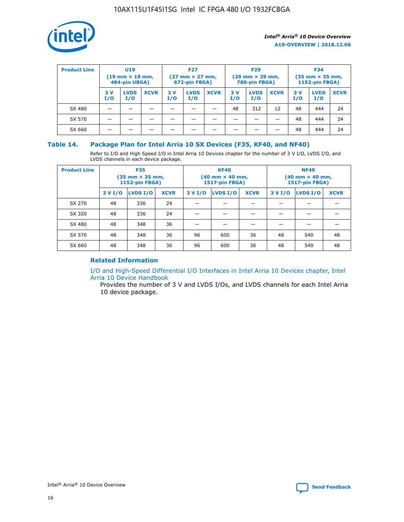

| <b>Product Line</b> | U <sub>19</sub><br>$(19 \text{ mm} \times 19 \text{ mm})$<br>484-pin UBGA) |                    | <b>F27</b><br>$(27 \text{ mm} \times 27 \text{ mm})$<br>672-pin FBGA) |           |                    | <b>F29</b><br>$(29$ mm $\times$ 29 mm,<br>780-pin FBGA) |           |                    | <b>F34</b><br>$(35$ mm $\times$ 35 mm,<br><b>1152-pin FBGA)</b> |            |                    |             |
|---------------------|----------------------------------------------------------------------------|--------------------|-----------------------------------------------------------------------|-----------|--------------------|---------------------------------------------------------|-----------|--------------------|-----------------------------------------------------------------|------------|--------------------|-------------|
|                     | 3 V<br>I/O                                                                 | <b>LVDS</b><br>I/O | <b>XCVR</b>                                                           | 3V<br>I/O | <b>LVDS</b><br>I/O | <b>XCVR</b>                                             | 3V<br>I/O | <b>LVDS</b><br>I/O | <b>XCVR</b>                                                     | 3 V<br>I/O | <b>LVDS</b><br>I/O | <b>XCVR</b> |
| SX 480              |                                                                            |                    |                                                                       |           |                    |                                                         | 48        | 312                | 12                                                              | 48         | 444                | 24          |
| SX 570              |                                                                            |                    |                                                                       |           |                    |                                                         |           |                    |                                                                 | 48         | 444                | 24          |
| SX 660              |                                                                            |                    |                                                                       |           |                    |                                                         |           |                    |                                                                 | 48         | 444                | 24          |

## **Table 14. Package Plan for Intel Arria 10 SX Devices (F35, KF40, and NF40)**

Refer to I/O and High Speed I/O in Intel Arria 10 Devices chapter for the number of 3 V I/O, LVDS I/O, and LVDS channels in each device package.

| <b>Product Line</b> | <b>F35</b><br>(35 mm × 35 mm,<br><b>1152-pin FBGA)</b> |          |             |                                           | <b>KF40</b><br>(40 mm × 40 mm,<br>1517-pin FBGA) |    | <b>NF40</b><br>$(40 \text{ mm} \times 40 \text{ mm})$<br>1517-pin FBGA) |          |             |  |
|---------------------|--------------------------------------------------------|----------|-------------|-------------------------------------------|--------------------------------------------------|----|-------------------------------------------------------------------------|----------|-------------|--|
|                     | 3 V I/O                                                | LVDS I/O | <b>XCVR</b> | <b>LVDS I/O</b><br>3 V I/O<br><b>XCVR</b> |                                                  |    | 3 V I/O                                                                 | LVDS I/O | <b>XCVR</b> |  |
| SX 270              | 48                                                     | 336      | 24          |                                           |                                                  |    |                                                                         |          |             |  |
| SX 320              | 48                                                     | 336      | 24          |                                           |                                                  |    |                                                                         |          |             |  |
| SX 480              | 48                                                     | 348      | 36          |                                           |                                                  |    |                                                                         |          |             |  |
| SX 570              | 48                                                     | 348      | 36          | 96                                        | 600                                              | 36 | 48                                                                      | 540      | 48          |  |
| SX 660              | 48                                                     | 348      | 36          | 96                                        | 600                                              | 36 | 48                                                                      | 540      | 48          |  |

# **Related Information**

[I/O and High-Speed Differential I/O Interfaces in Intel Arria 10 Devices chapter, Intel](https://www.intel.com/content/www/us/en/programmable/documentation/sam1403482614086.html#sam1403482030321) [Arria 10 Device Handbook](https://www.intel.com/content/www/us/en/programmable/documentation/sam1403482614086.html#sam1403482030321)

Provides the number of 3 V and LVDS I/Os, and LVDS channels for each Intel Arria 10 device package.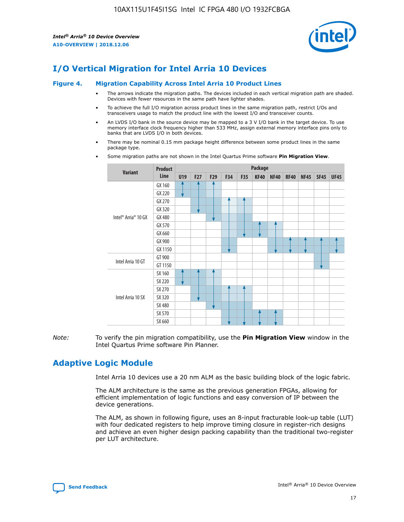

# **I/O Vertical Migration for Intel Arria 10 Devices**

#### **Figure 4. Migration Capability Across Intel Arria 10 Product Lines**

- The arrows indicate the migration paths. The devices included in each vertical migration path are shaded. Devices with fewer resources in the same path have lighter shades.
- To achieve the full I/O migration across product lines in the same migration path, restrict I/Os and transceivers usage to match the product line with the lowest I/O and transceiver counts.
- An LVDS I/O bank in the source device may be mapped to a 3 V I/O bank in the target device. To use memory interface clock frequency higher than 533 MHz, assign external memory interface pins only to banks that are LVDS I/O in both devices.
- There may be nominal 0.15 mm package height difference between some product lines in the same package type.
	- **Variant Product Line Package U19 F27 F29 F34 F35 KF40 NF40 RF40 NF45 SF45 UF45** Intel® Arria® 10 GX GX 160 GX 220 GX 270 GX 320 GX 480 GX 570 GX 660 GX 900 GX 1150 Intel Arria 10 GT GT 900 GT 1150 Intel Arria 10 SX SX 160 SX 220 SX 270 SX 320 SX 480 SX 570 SX 660
- Some migration paths are not shown in the Intel Quartus Prime software **Pin Migration View**.

*Note:* To verify the pin migration compatibility, use the **Pin Migration View** window in the Intel Quartus Prime software Pin Planner.

# **Adaptive Logic Module**

Intel Arria 10 devices use a 20 nm ALM as the basic building block of the logic fabric.

The ALM architecture is the same as the previous generation FPGAs, allowing for efficient implementation of logic functions and easy conversion of IP between the device generations.

The ALM, as shown in following figure, uses an 8-input fracturable look-up table (LUT) with four dedicated registers to help improve timing closure in register-rich designs and achieve an even higher design packing capability than the traditional two-register per LUT architecture.

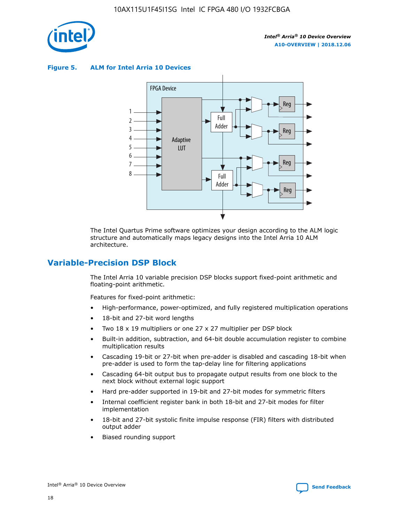

**Figure 5. ALM for Intel Arria 10 Devices**



The Intel Quartus Prime software optimizes your design according to the ALM logic structure and automatically maps legacy designs into the Intel Arria 10 ALM architecture.

# **Variable-Precision DSP Block**

The Intel Arria 10 variable precision DSP blocks support fixed-point arithmetic and floating-point arithmetic.

Features for fixed-point arithmetic:

- High-performance, power-optimized, and fully registered multiplication operations
- 18-bit and 27-bit word lengths
- Two 18 x 19 multipliers or one 27 x 27 multiplier per DSP block
- Built-in addition, subtraction, and 64-bit double accumulation register to combine multiplication results
- Cascading 19-bit or 27-bit when pre-adder is disabled and cascading 18-bit when pre-adder is used to form the tap-delay line for filtering applications
- Cascading 64-bit output bus to propagate output results from one block to the next block without external logic support
- Hard pre-adder supported in 19-bit and 27-bit modes for symmetric filters
- Internal coefficient register bank in both 18-bit and 27-bit modes for filter implementation
- 18-bit and 27-bit systolic finite impulse response (FIR) filters with distributed output adder
- Biased rounding support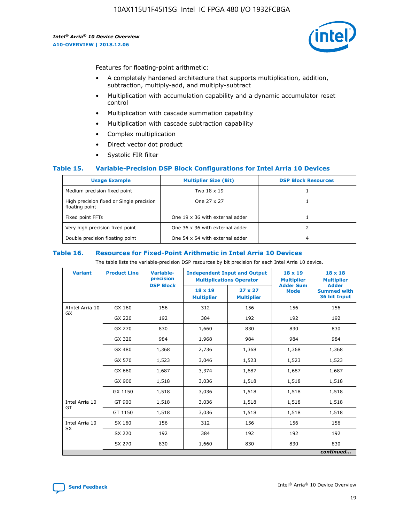

Features for floating-point arithmetic:

- A completely hardened architecture that supports multiplication, addition, subtraction, multiply-add, and multiply-subtract
- Multiplication with accumulation capability and a dynamic accumulator reset control
- Multiplication with cascade summation capability
- Multiplication with cascade subtraction capability
- Complex multiplication
- Direct vector dot product
- Systolic FIR filter

## **Table 15. Variable-Precision DSP Block Configurations for Intel Arria 10 Devices**

| <b>Usage Example</b>                                       | <b>Multiplier Size (Bit)</b>    | <b>DSP Block Resources</b> |
|------------------------------------------------------------|---------------------------------|----------------------------|
| Medium precision fixed point                               | Two 18 x 19                     |                            |
| High precision fixed or Single precision<br>floating point | One 27 x 27                     |                            |
| Fixed point FFTs                                           | One 19 x 36 with external adder |                            |
| Very high precision fixed point                            | One 36 x 36 with external adder |                            |
| Double precision floating point                            | One 54 x 54 with external adder | 4                          |

#### **Table 16. Resources for Fixed-Point Arithmetic in Intel Arria 10 Devices**

The table lists the variable-precision DSP resources by bit precision for each Intel Arria 10 device.

| <b>Variant</b>        | <b>Product Line</b> | <b>Variable-</b><br>precision<br><b>DSP Block</b> | <b>Independent Input and Output</b><br><b>Multiplications Operator</b> |                                     | 18 x 19<br><b>Multiplier</b><br><b>Adder Sum</b> | $18 \times 18$<br><b>Multiplier</b><br><b>Adder</b> |
|-----------------------|---------------------|---------------------------------------------------|------------------------------------------------------------------------|-------------------------------------|--------------------------------------------------|-----------------------------------------------------|
|                       |                     |                                                   | 18 x 19<br><b>Multiplier</b>                                           | $27 \times 27$<br><b>Multiplier</b> | <b>Mode</b>                                      | <b>Summed with</b><br>36 bit Input                  |
| AIntel Arria 10<br>GX | GX 160              | 156                                               | 312                                                                    | 156                                 | 156                                              | 156                                                 |
|                       | GX 220              | 192                                               | 384                                                                    | 192                                 | 192                                              | 192                                                 |
|                       | GX 270              | 830                                               | 1,660                                                                  | 830                                 | 830                                              | 830                                                 |
|                       | GX 320              | 984                                               | 1,968                                                                  | 984                                 | 984                                              | 984                                                 |
|                       | GX 480              | 1,368                                             | 2,736                                                                  | 1,368                               | 1,368                                            | 1,368                                               |
|                       | GX 570              | 1,523                                             | 3,046                                                                  | 1,523                               | 1,523                                            | 1,523                                               |
|                       | GX 660              | 1,687                                             | 3,374                                                                  | 1,687                               | 1,687                                            | 1,687                                               |
|                       | GX 900              | 1,518                                             | 3,036                                                                  | 1,518                               | 1,518                                            | 1,518                                               |
|                       | GX 1150             | 1,518                                             | 3,036                                                                  | 1,518                               | 1,518                                            | 1,518                                               |
| Intel Arria 10        | GT 900              | 1,518                                             | 3,036                                                                  | 1,518                               | 1,518                                            | 1,518                                               |
| GT                    | GT 1150             | 1,518                                             | 3,036                                                                  | 1,518                               | 1,518                                            | 1,518                                               |
| Intel Arria 10        | SX 160              | 156                                               | 312                                                                    | 156                                 | 156                                              | 156                                                 |
| <b>SX</b>             | SX 220              | 192                                               | 384                                                                    | 192                                 | 192                                              | 192                                                 |
|                       | SX 270              | 830                                               | 1,660                                                                  | 830                                 | 830                                              | 830                                                 |
|                       |                     |                                                   |                                                                        |                                     |                                                  | continued                                           |

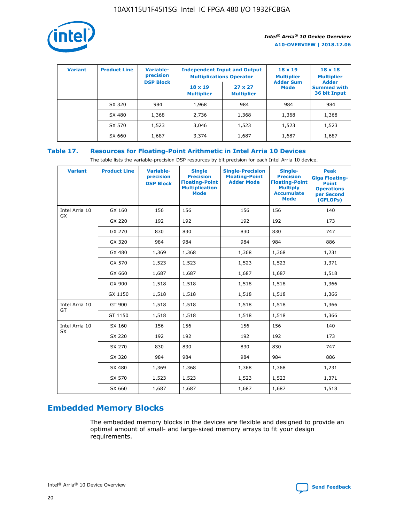

| <b>Variant</b> | <b>Product Line</b> | Variable-<br>precision | <b>Multiplications Operator</b>     | <b>Independent Input and Output</b> | $18 \times 19$<br><b>Multiplier</b> | $18 \times 18$<br><b>Multiplier</b><br><b>Adder</b> |  |
|----------------|---------------------|------------------------|-------------------------------------|-------------------------------------|-------------------------------------|-----------------------------------------------------|--|
|                |                     | <b>DSP Block</b>       | $18 \times 19$<br><b>Multiplier</b> | $27 \times 27$<br><b>Multiplier</b> | <b>Adder Sum</b><br><b>Mode</b>     | <b>Summed with</b><br>36 bit Input                  |  |
|                | SX 320              | 984                    | 1,968                               | 984                                 | 984                                 | 984                                                 |  |
|                | SX 480              | 1,368                  | 2,736                               | 1,368                               | 1,368                               | 1,368                                               |  |
|                | SX 570              | 1,523                  | 3,046                               | 1,523                               | 1,523                               | 1,523                                               |  |
|                | SX 660              | 1,687                  | 3,374                               | 1,687                               | 1,687                               | 1,687                                               |  |

# **Table 17. Resources for Floating-Point Arithmetic in Intel Arria 10 Devices**

The table lists the variable-precision DSP resources by bit precision for each Intel Arria 10 device.

| <b>Variant</b> | <b>Product Line</b> | <b>Variable-</b><br>precision<br><b>DSP Block</b> | <b>Single</b><br><b>Precision</b><br><b>Floating-Point</b><br><b>Multiplication</b><br><b>Mode</b> | <b>Single-Precision</b><br><b>Floating-Point</b><br><b>Adder Mode</b> | Single-<br><b>Precision</b><br><b>Floating-Point</b><br><b>Multiply</b><br><b>Accumulate</b><br><b>Mode</b> | <b>Peak</b><br><b>Giga Floating-</b><br><b>Point</b><br><b>Operations</b><br>per Second<br>(GFLOPs) |
|----------------|---------------------|---------------------------------------------------|----------------------------------------------------------------------------------------------------|-----------------------------------------------------------------------|-------------------------------------------------------------------------------------------------------------|-----------------------------------------------------------------------------------------------------|
| Intel Arria 10 | GX 160              | 156                                               | 156                                                                                                | 156                                                                   | 156                                                                                                         | 140                                                                                                 |
| GX             | GX 220              | 192                                               | 192                                                                                                | 192                                                                   | 192                                                                                                         | 173                                                                                                 |
|                | GX 270              | 830                                               | 830                                                                                                | 830                                                                   | 830                                                                                                         | 747                                                                                                 |
|                | GX 320              | 984                                               | 984                                                                                                | 984                                                                   | 984                                                                                                         | 886                                                                                                 |
|                | GX 480              | 1,369                                             | 1,368                                                                                              | 1,368                                                                 | 1,368                                                                                                       | 1,231                                                                                               |
|                | GX 570              | 1,523                                             | 1,523                                                                                              | 1,523                                                                 | 1,523                                                                                                       | 1,371                                                                                               |
|                | GX 660              | 1,687                                             | 1,687                                                                                              | 1,687                                                                 | 1,687                                                                                                       | 1,518                                                                                               |
|                | GX 900              | 1,518                                             | 1,518                                                                                              | 1,518                                                                 | 1,518                                                                                                       | 1,366                                                                                               |
|                | GX 1150             | 1,518                                             | 1,518                                                                                              | 1,518                                                                 | 1,518                                                                                                       | 1,366                                                                                               |
| Intel Arria 10 | GT 900              | 1,518                                             | 1,518                                                                                              | 1,518                                                                 | 1,518                                                                                                       | 1,366                                                                                               |
| GT             | GT 1150             | 1,518                                             | 1,518                                                                                              | 1,518                                                                 | 1,518                                                                                                       | 1,366                                                                                               |
| Intel Arria 10 | SX 160              | 156                                               | 156                                                                                                | 156                                                                   | 156                                                                                                         | 140                                                                                                 |
| <b>SX</b>      | SX 220              | 192                                               | 192                                                                                                | 192                                                                   | 192                                                                                                         | 173                                                                                                 |
|                | SX 270              | 830                                               | 830                                                                                                | 830                                                                   | 830                                                                                                         | 747                                                                                                 |
|                | SX 320              | 984                                               | 984                                                                                                | 984                                                                   | 984                                                                                                         | 886                                                                                                 |
|                | SX 480              | 1,369                                             | 1,368                                                                                              | 1,368                                                                 | 1,368                                                                                                       | 1,231                                                                                               |
|                | SX 570              | 1,523                                             | 1,523                                                                                              | 1,523                                                                 | 1,523                                                                                                       | 1,371                                                                                               |
|                | SX 660              | 1,687                                             | 1,687                                                                                              | 1,687                                                                 | 1,687                                                                                                       | 1,518                                                                                               |

# **Embedded Memory Blocks**

The embedded memory blocks in the devices are flexible and designed to provide an optimal amount of small- and large-sized memory arrays to fit your design requirements.

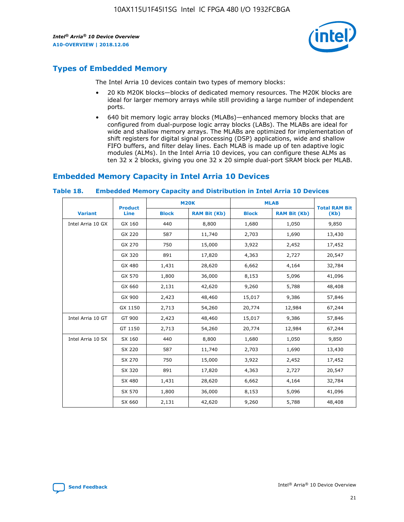

# **Types of Embedded Memory**

The Intel Arria 10 devices contain two types of memory blocks:

- 20 Kb M20K blocks—blocks of dedicated memory resources. The M20K blocks are ideal for larger memory arrays while still providing a large number of independent ports.
- 640 bit memory logic array blocks (MLABs)—enhanced memory blocks that are configured from dual-purpose logic array blocks (LABs). The MLABs are ideal for wide and shallow memory arrays. The MLABs are optimized for implementation of shift registers for digital signal processing (DSP) applications, wide and shallow FIFO buffers, and filter delay lines. Each MLAB is made up of ten adaptive logic modules (ALMs). In the Intel Arria 10 devices, you can configure these ALMs as ten 32 x 2 blocks, giving you one 32 x 20 simple dual-port SRAM block per MLAB.

# **Embedded Memory Capacity in Intel Arria 10 Devices**

|                   | <b>Product</b> |              | <b>M20K</b>         | <b>MLAB</b>  |                     | <b>Total RAM Bit</b> |
|-------------------|----------------|--------------|---------------------|--------------|---------------------|----------------------|
| <b>Variant</b>    | <b>Line</b>    | <b>Block</b> | <b>RAM Bit (Kb)</b> | <b>Block</b> | <b>RAM Bit (Kb)</b> | (Kb)                 |
| Intel Arria 10 GX | GX 160         | 440          | 8,800               | 1,680        | 1,050               | 9,850                |
|                   | GX 220         | 587          | 11,740              | 2,703        | 1,690               | 13,430               |
|                   | GX 270         | 750          | 15,000              | 3,922        | 2,452               | 17,452               |
|                   | GX 320         | 891          | 17,820              | 4,363        | 2,727               | 20,547               |
|                   | GX 480         | 1,431        | 28,620              | 6,662        | 4,164               | 32,784               |
|                   | GX 570         | 1,800        | 36,000              | 8,153        | 5,096               | 41,096               |
|                   | GX 660         | 2,131        | 42,620              | 9,260        | 5,788               | 48,408               |
|                   | GX 900         | 2,423        | 48,460              | 15,017       | 9,386               | 57,846               |
|                   | GX 1150        | 2,713        | 54,260              | 20,774       | 12,984              | 67,244               |
| Intel Arria 10 GT | GT 900         | 2,423        | 48,460              | 15,017       | 9,386               | 57,846               |
|                   | GT 1150        | 2,713        | 54,260              | 20,774       | 12,984              | 67,244               |
| Intel Arria 10 SX | SX 160         | 440          | 8,800               | 1,680        | 1,050               | 9,850                |
|                   | SX 220         | 587          | 11,740              | 2,703        | 1,690               | 13,430               |
|                   | SX 270         | 750          | 15,000              | 3,922        | 2,452               | 17,452               |
|                   | SX 320         | 891          | 17,820              | 4,363        | 2,727               | 20,547               |
|                   | SX 480         | 1,431        | 28,620              | 6,662        | 4,164               | 32,784               |
|                   | SX 570         | 1,800        | 36,000              | 8,153        | 5,096               | 41,096               |
|                   | SX 660         | 2,131        | 42,620              | 9,260        | 5,788               | 48,408               |

#### **Table 18. Embedded Memory Capacity and Distribution in Intel Arria 10 Devices**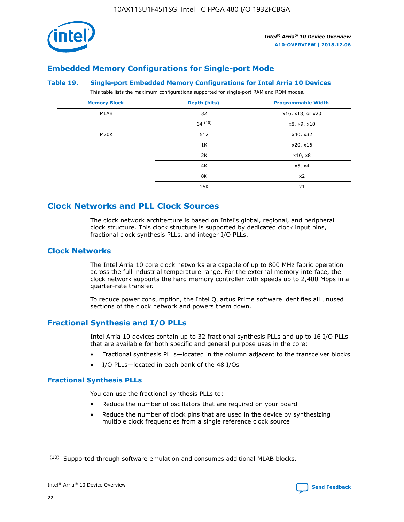

# **Embedded Memory Configurations for Single-port Mode**

#### **Table 19. Single-port Embedded Memory Configurations for Intel Arria 10 Devices**

This table lists the maximum configurations supported for single-port RAM and ROM modes.

| <b>Memory Block</b> | Depth (bits) | <b>Programmable Width</b> |
|---------------------|--------------|---------------------------|
| MLAB                | 32           | x16, x18, or x20          |
|                     | 64(10)       | x8, x9, x10               |
| M20K                | 512          | x40, x32                  |
|                     | 1K           | x20, x16                  |
|                     | 2K           | x10, x8                   |
|                     | 4K           | x5, x4                    |
|                     | 8K           | x2                        |
|                     | 16K          | x1                        |

# **Clock Networks and PLL Clock Sources**

The clock network architecture is based on Intel's global, regional, and peripheral clock structure. This clock structure is supported by dedicated clock input pins, fractional clock synthesis PLLs, and integer I/O PLLs.

# **Clock Networks**

The Intel Arria 10 core clock networks are capable of up to 800 MHz fabric operation across the full industrial temperature range. For the external memory interface, the clock network supports the hard memory controller with speeds up to 2,400 Mbps in a quarter-rate transfer.

To reduce power consumption, the Intel Quartus Prime software identifies all unused sections of the clock network and powers them down.

# **Fractional Synthesis and I/O PLLs**

Intel Arria 10 devices contain up to 32 fractional synthesis PLLs and up to 16 I/O PLLs that are available for both specific and general purpose uses in the core:

- Fractional synthesis PLLs—located in the column adjacent to the transceiver blocks
- I/O PLLs—located in each bank of the 48 I/Os

## **Fractional Synthesis PLLs**

You can use the fractional synthesis PLLs to:

- Reduce the number of oscillators that are required on your board
- Reduce the number of clock pins that are used in the device by synthesizing multiple clock frequencies from a single reference clock source

<sup>(10)</sup> Supported through software emulation and consumes additional MLAB blocks.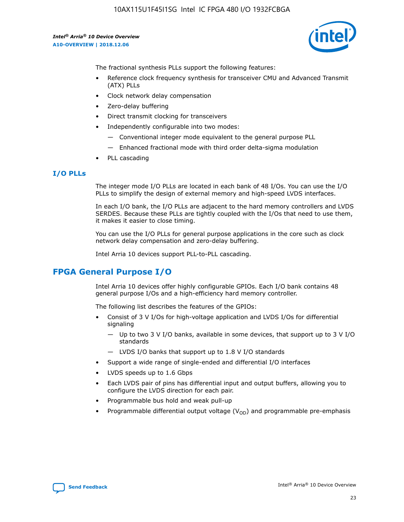

The fractional synthesis PLLs support the following features:

- Reference clock frequency synthesis for transceiver CMU and Advanced Transmit (ATX) PLLs
- Clock network delay compensation
- Zero-delay buffering
- Direct transmit clocking for transceivers
- Independently configurable into two modes:
	- Conventional integer mode equivalent to the general purpose PLL
	- Enhanced fractional mode with third order delta-sigma modulation
- PLL cascading

## **I/O PLLs**

The integer mode I/O PLLs are located in each bank of 48 I/Os. You can use the I/O PLLs to simplify the design of external memory and high-speed LVDS interfaces.

In each I/O bank, the I/O PLLs are adjacent to the hard memory controllers and LVDS SERDES. Because these PLLs are tightly coupled with the I/Os that need to use them, it makes it easier to close timing.

You can use the I/O PLLs for general purpose applications in the core such as clock network delay compensation and zero-delay buffering.

Intel Arria 10 devices support PLL-to-PLL cascading.

# **FPGA General Purpose I/O**

Intel Arria 10 devices offer highly configurable GPIOs. Each I/O bank contains 48 general purpose I/Os and a high-efficiency hard memory controller.

The following list describes the features of the GPIOs:

- Consist of 3 V I/Os for high-voltage application and LVDS I/Os for differential signaling
	- Up to two 3 V I/O banks, available in some devices, that support up to 3 V I/O standards
	- LVDS I/O banks that support up to 1.8 V I/O standards
- Support a wide range of single-ended and differential I/O interfaces
- LVDS speeds up to 1.6 Gbps
- Each LVDS pair of pins has differential input and output buffers, allowing you to configure the LVDS direction for each pair.
- Programmable bus hold and weak pull-up
- Programmable differential output voltage  $(V_{OD})$  and programmable pre-emphasis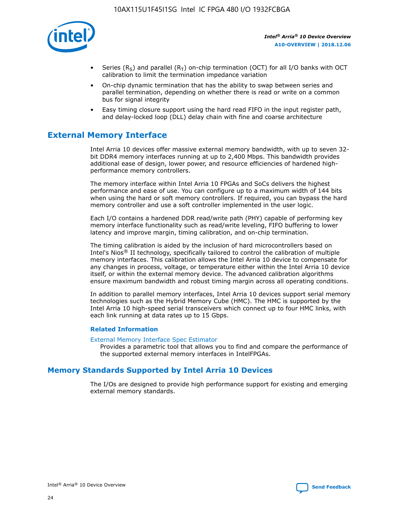

- Series (R<sub>S</sub>) and parallel (R<sub>T</sub>) on-chip termination (OCT) for all I/O banks with OCT calibration to limit the termination impedance variation
- On-chip dynamic termination that has the ability to swap between series and parallel termination, depending on whether there is read or write on a common bus for signal integrity
- Easy timing closure support using the hard read FIFO in the input register path, and delay-locked loop (DLL) delay chain with fine and coarse architecture

# **External Memory Interface**

Intel Arria 10 devices offer massive external memory bandwidth, with up to seven 32 bit DDR4 memory interfaces running at up to 2,400 Mbps. This bandwidth provides additional ease of design, lower power, and resource efficiencies of hardened highperformance memory controllers.

The memory interface within Intel Arria 10 FPGAs and SoCs delivers the highest performance and ease of use. You can configure up to a maximum width of 144 bits when using the hard or soft memory controllers. If required, you can bypass the hard memory controller and use a soft controller implemented in the user logic.

Each I/O contains a hardened DDR read/write path (PHY) capable of performing key memory interface functionality such as read/write leveling, FIFO buffering to lower latency and improve margin, timing calibration, and on-chip termination.

The timing calibration is aided by the inclusion of hard microcontrollers based on Intel's Nios® II technology, specifically tailored to control the calibration of multiple memory interfaces. This calibration allows the Intel Arria 10 device to compensate for any changes in process, voltage, or temperature either within the Intel Arria 10 device itself, or within the external memory device. The advanced calibration algorithms ensure maximum bandwidth and robust timing margin across all operating conditions.

In addition to parallel memory interfaces, Intel Arria 10 devices support serial memory technologies such as the Hybrid Memory Cube (HMC). The HMC is supported by the Intel Arria 10 high-speed serial transceivers which connect up to four HMC links, with each link running at data rates up to 15 Gbps.

## **Related Information**

#### [External Memory Interface Spec Estimator](http://www.altera.com/technology/memory/estimator/mem-emif-index.html)

Provides a parametric tool that allows you to find and compare the performance of the supported external memory interfaces in IntelFPGAs.

# **Memory Standards Supported by Intel Arria 10 Devices**

The I/Os are designed to provide high performance support for existing and emerging external memory standards.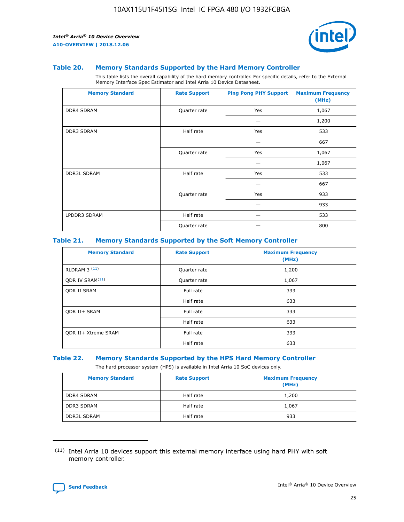

#### **Table 20. Memory Standards Supported by the Hard Memory Controller**

This table lists the overall capability of the hard memory controller. For specific details, refer to the External Memory Interface Spec Estimator and Intel Arria 10 Device Datasheet.

| <b>Memory Standard</b> | <b>Rate Support</b> | <b>Ping Pong PHY Support</b> | <b>Maximum Frequency</b><br>(MHz) |
|------------------------|---------------------|------------------------------|-----------------------------------|
| <b>DDR4 SDRAM</b>      | Quarter rate        | Yes                          | 1,067                             |
|                        |                     |                              | 1,200                             |
| <b>DDR3 SDRAM</b>      | Half rate           | Yes                          | 533                               |
|                        |                     |                              | 667                               |
|                        | Quarter rate        | Yes                          | 1,067                             |
|                        |                     |                              | 1,067                             |
| <b>DDR3L SDRAM</b>     | Half rate           | Yes                          | 533                               |
|                        |                     |                              | 667                               |
|                        | Quarter rate        | Yes                          | 933                               |
|                        |                     |                              | 933                               |
| LPDDR3 SDRAM           | Half rate           |                              | 533                               |
|                        | Quarter rate        |                              | 800                               |

## **Table 21. Memory Standards Supported by the Soft Memory Controller**

| <b>Memory Standard</b>      | <b>Rate Support</b> | <b>Maximum Frequency</b><br>(MHz) |
|-----------------------------|---------------------|-----------------------------------|
| <b>RLDRAM 3 (11)</b>        | Quarter rate        | 1,200                             |
| ODR IV SRAM <sup>(11)</sup> | Quarter rate        | 1,067                             |
| <b>ODR II SRAM</b>          | Full rate           | 333                               |
|                             | Half rate           | 633                               |
| <b>ODR II+ SRAM</b>         | Full rate           | 333                               |
|                             | Half rate           | 633                               |
| <b>ODR II+ Xtreme SRAM</b>  | Full rate           | 333                               |
|                             | Half rate           | 633                               |

#### **Table 22. Memory Standards Supported by the HPS Hard Memory Controller**

The hard processor system (HPS) is available in Intel Arria 10 SoC devices only.

| <b>Memory Standard</b> | <b>Rate Support</b> | <b>Maximum Frequency</b><br>(MHz) |
|------------------------|---------------------|-----------------------------------|
| <b>DDR4 SDRAM</b>      | Half rate           | 1,200                             |
| <b>DDR3 SDRAM</b>      | Half rate           | 1,067                             |
| <b>DDR3L SDRAM</b>     | Half rate           | 933                               |

<sup>(11)</sup> Intel Arria 10 devices support this external memory interface using hard PHY with soft memory controller.

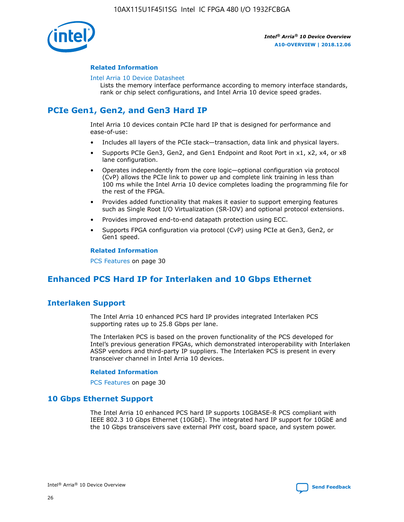

## **Related Information**

#### [Intel Arria 10 Device Datasheet](https://www.intel.com/content/www/us/en/programmable/documentation/mcn1413182292568.html#mcn1413182153340)

Lists the memory interface performance according to memory interface standards, rank or chip select configurations, and Intel Arria 10 device speed grades.

# **PCIe Gen1, Gen2, and Gen3 Hard IP**

Intel Arria 10 devices contain PCIe hard IP that is designed for performance and ease-of-use:

- Includes all layers of the PCIe stack—transaction, data link and physical layers.
- Supports PCIe Gen3, Gen2, and Gen1 Endpoint and Root Port in x1, x2, x4, or x8 lane configuration.
- Operates independently from the core logic—optional configuration via protocol (CvP) allows the PCIe link to power up and complete link training in less than 100 ms while the Intel Arria 10 device completes loading the programming file for the rest of the FPGA.
- Provides added functionality that makes it easier to support emerging features such as Single Root I/O Virtualization (SR-IOV) and optional protocol extensions.
- Provides improved end-to-end datapath protection using ECC.
- Supports FPGA configuration via protocol (CvP) using PCIe at Gen3, Gen2, or Gen1 speed.

#### **Related Information**

PCS Features on page 30

# **Enhanced PCS Hard IP for Interlaken and 10 Gbps Ethernet**

# **Interlaken Support**

The Intel Arria 10 enhanced PCS hard IP provides integrated Interlaken PCS supporting rates up to 25.8 Gbps per lane.

The Interlaken PCS is based on the proven functionality of the PCS developed for Intel's previous generation FPGAs, which demonstrated interoperability with Interlaken ASSP vendors and third-party IP suppliers. The Interlaken PCS is present in every transceiver channel in Intel Arria 10 devices.

## **Related Information**

PCS Features on page 30

# **10 Gbps Ethernet Support**

The Intel Arria 10 enhanced PCS hard IP supports 10GBASE-R PCS compliant with IEEE 802.3 10 Gbps Ethernet (10GbE). The integrated hard IP support for 10GbE and the 10 Gbps transceivers save external PHY cost, board space, and system power.

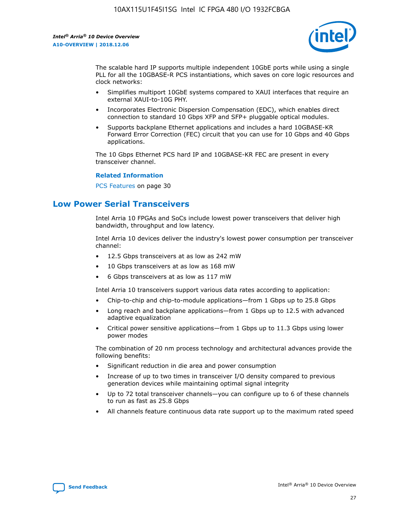

The scalable hard IP supports multiple independent 10GbE ports while using a single PLL for all the 10GBASE-R PCS instantiations, which saves on core logic resources and clock networks:

- Simplifies multiport 10GbE systems compared to XAUI interfaces that require an external XAUI-to-10G PHY.
- Incorporates Electronic Dispersion Compensation (EDC), which enables direct connection to standard 10 Gbps XFP and SFP+ pluggable optical modules.
- Supports backplane Ethernet applications and includes a hard 10GBASE-KR Forward Error Correction (FEC) circuit that you can use for 10 Gbps and 40 Gbps applications.

The 10 Gbps Ethernet PCS hard IP and 10GBASE-KR FEC are present in every transceiver channel.

#### **Related Information**

PCS Features on page 30

# **Low Power Serial Transceivers**

Intel Arria 10 FPGAs and SoCs include lowest power transceivers that deliver high bandwidth, throughput and low latency.

Intel Arria 10 devices deliver the industry's lowest power consumption per transceiver channel:

- 12.5 Gbps transceivers at as low as 242 mW
- 10 Gbps transceivers at as low as 168 mW
- 6 Gbps transceivers at as low as 117 mW

Intel Arria 10 transceivers support various data rates according to application:

- Chip-to-chip and chip-to-module applications—from 1 Gbps up to 25.8 Gbps
- Long reach and backplane applications—from 1 Gbps up to 12.5 with advanced adaptive equalization
- Critical power sensitive applications—from 1 Gbps up to 11.3 Gbps using lower power modes

The combination of 20 nm process technology and architectural advances provide the following benefits:

- Significant reduction in die area and power consumption
- Increase of up to two times in transceiver I/O density compared to previous generation devices while maintaining optimal signal integrity
- Up to 72 total transceiver channels—you can configure up to 6 of these channels to run as fast as 25.8 Gbps
- All channels feature continuous data rate support up to the maximum rated speed

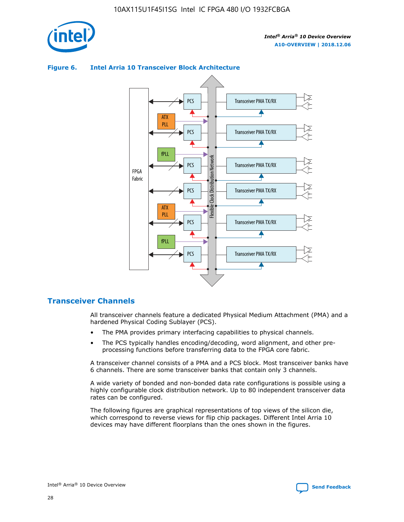

# Transceiver PMA TX/RX PCS ATX PLL Transceiver PMA TX/RX PCS fPLL Network Flexible Clock Distribution Network PCS Transceiver PMA TX/RX FPGA **Clock Distribution** Fabric PCS Transceiver PMA TX/RX ATX Flexible PLL PCS Transceiver PMA TX/RX ▲ fPLL Transceiver PMA TX/RX PCS 4

## **Figure 6. Intel Arria 10 Transceiver Block Architecture**

# **Transceiver Channels**

All transceiver channels feature a dedicated Physical Medium Attachment (PMA) and a hardened Physical Coding Sublayer (PCS).

- The PMA provides primary interfacing capabilities to physical channels.
- The PCS typically handles encoding/decoding, word alignment, and other preprocessing functions before transferring data to the FPGA core fabric.

A transceiver channel consists of a PMA and a PCS block. Most transceiver banks have 6 channels. There are some transceiver banks that contain only 3 channels.

A wide variety of bonded and non-bonded data rate configurations is possible using a highly configurable clock distribution network. Up to 80 independent transceiver data rates can be configured.

The following figures are graphical representations of top views of the silicon die, which correspond to reverse views for flip chip packages. Different Intel Arria 10 devices may have different floorplans than the ones shown in the figures.

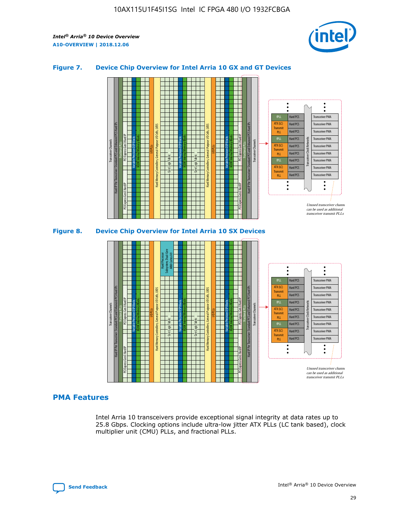

## **Figure 7. Device Chip Overview for Intel Arria 10 GX and GT Devices**



M20K Internal Memory Blocks Core Logic Fabric Transceiver Channels Hard IP Per Transceiver: Standard PCS and Enhanced PCS Hard IPs PCI Express Gen3 Hard IP Fractional PLLs M20K Internal Memory Blocks PCI Express Gen3 Hard IP Variable Precision DSP Blocks I/O PLLs Hard Memory Controllers, General-Purpose I/O Cells, LVDS Hard Processor Subsystem, Dual-Core ARM Cortex A9 M20K Internal Memory Blocks Variable Precision DSP Blocks M20K Internal Memory Blocks Core Logic Fabric I/O PLLs Hard Memory Controllers, General-Purpose I/O Cells, LVDS M20K Internal Memory Blocks Variable Precision DSP Blocks M20K Internal Memory Blocks Transceiver Channels Hard IP Per Transceiver: Standard PCS and Enhanced PCS Hard IPs PCI Express Gen3 Hard IP Fractional PLLs PCI Express Gen3 Hard IP  $\ddot{\cdot}$ Hard PCS Transceiver PMA fPLL ATX (LC) Hard PCS Transceiver PMA **Transmit** Hard PCS Transceiver PMA PLL fPLL Hard PCS Transceiver PMA Transceiver Clock Networks ATX (LC) Hard PCS Transceiver PMA Transmi Hard PCS Transceiver PMA PLL fPLL Hard PCS Transceiver PMA Transceiver PMA Hard PCS ATX (LC) **Transmit** Hard PCS Transceiver PMA PLL Unused transceiver chann can be used as additional transceiver transmit PLLs

# **PMA Features**

Intel Arria 10 transceivers provide exceptional signal integrity at data rates up to 25.8 Gbps. Clocking options include ultra-low jitter ATX PLLs (LC tank based), clock multiplier unit (CMU) PLLs, and fractional PLLs.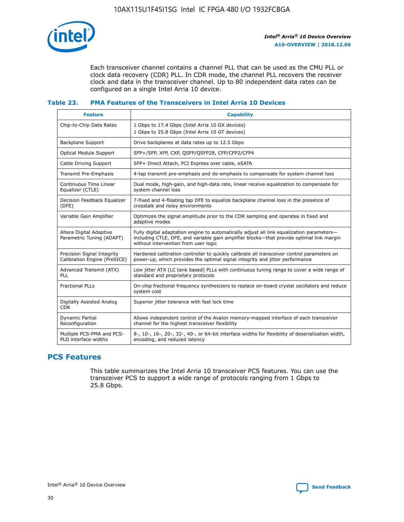

Each transceiver channel contains a channel PLL that can be used as the CMU PLL or clock data recovery (CDR) PLL. In CDR mode, the channel PLL recovers the receiver clock and data in the transceiver channel. Up to 80 independent data rates can be configured on a single Intel Arria 10 device.

## **Table 23. PMA Features of the Transceivers in Intel Arria 10 Devices**

| <b>Feature</b>                                             | <b>Capability</b>                                                                                                                                                                                                             |
|------------------------------------------------------------|-------------------------------------------------------------------------------------------------------------------------------------------------------------------------------------------------------------------------------|
| Chip-to-Chip Data Rates                                    | 1 Gbps to 17.4 Gbps (Intel Arria 10 GX devices)<br>1 Gbps to 25.8 Gbps (Intel Arria 10 GT devices)                                                                                                                            |
| Backplane Support                                          | Drive backplanes at data rates up to 12.5 Gbps                                                                                                                                                                                |
| Optical Module Support                                     | SFP+/SFP, XFP, CXP, QSFP/QSFP28, CFP/CFP2/CFP4                                                                                                                                                                                |
| Cable Driving Support                                      | SFP+ Direct Attach, PCI Express over cable, eSATA                                                                                                                                                                             |
| Transmit Pre-Emphasis                                      | 4-tap transmit pre-emphasis and de-emphasis to compensate for system channel loss                                                                                                                                             |
| Continuous Time Linear<br>Equalizer (CTLE)                 | Dual mode, high-gain, and high-data rate, linear receive equalization to compensate for<br>system channel loss                                                                                                                |
| Decision Feedback Equalizer<br>(DFE)                       | 7-fixed and 4-floating tap DFE to equalize backplane channel loss in the presence of<br>crosstalk and noisy environments                                                                                                      |
| Variable Gain Amplifier                                    | Optimizes the signal amplitude prior to the CDR sampling and operates in fixed and<br>adaptive modes                                                                                                                          |
| Altera Digital Adaptive<br>Parametric Tuning (ADAPT)       | Fully digital adaptation engine to automatically adjust all link equalization parameters-<br>including CTLE, DFE, and variable gain amplifier blocks—that provide optimal link margin<br>without intervention from user logic |
| Precision Signal Integrity<br>Calibration Engine (PreSICE) | Hardened calibration controller to quickly calibrate all transceiver control parameters on<br>power-up, which provides the optimal signal integrity and jitter performance                                                    |
| Advanced Transmit (ATX)<br><b>PLL</b>                      | Low jitter ATX (LC tank based) PLLs with continuous tuning range to cover a wide range of<br>standard and proprietary protocols                                                                                               |
| <b>Fractional PLLs</b>                                     | On-chip fractional frequency synthesizers to replace on-board crystal oscillators and reduce<br>system cost                                                                                                                   |
| Digitally Assisted Analog<br><b>CDR</b>                    | Superior jitter tolerance with fast lock time                                                                                                                                                                                 |
| Dynamic Partial<br>Reconfiguration                         | Allows independent control of the Avalon memory-mapped interface of each transceiver<br>channel for the highest transceiver flexibility                                                                                       |
| Multiple PCS-PMA and PCS-<br>PLD interface widths          | 8-, 10-, 16-, 20-, 32-, 40-, or 64-bit interface widths for flexibility of deserialization width,<br>encoding, and reduced latency                                                                                            |

# **PCS Features**

This table summarizes the Intel Arria 10 transceiver PCS features. You can use the transceiver PCS to support a wide range of protocols ranging from 1 Gbps to 25.8 Gbps.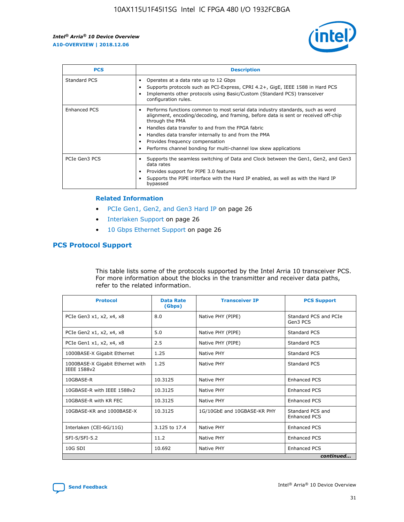

| <b>PCS</b>    | <b>Description</b>                                                                                                                                                                                                                                                                                                                                                                                                          |
|---------------|-----------------------------------------------------------------------------------------------------------------------------------------------------------------------------------------------------------------------------------------------------------------------------------------------------------------------------------------------------------------------------------------------------------------------------|
| Standard PCS  | Operates at a data rate up to 12 Gbps<br>Supports protocols such as PCI-Express, CPRI 4.2+, GigE, IEEE 1588 in Hard PCS<br>Implements other protocols using Basic/Custom (Standard PCS) transceiver<br>configuration rules.                                                                                                                                                                                                 |
| Enhanced PCS  | Performs functions common to most serial data industry standards, such as word<br>$\bullet$<br>alignment, encoding/decoding, and framing, before data is sent or received off-chip<br>through the PMA<br>• Handles data transfer to and from the FPGA fabric<br>Handles data transfer internally to and from the PMA<br>Provides frequency compensation<br>Performs channel bonding for multi-channel low skew applications |
| PCIe Gen3 PCS | Supports the seamless switching of Data and Clock between the Gen1, Gen2, and Gen3<br>data rates<br>Provides support for PIPE 3.0 features<br>Supports the PIPE interface with the Hard IP enabled, as well as with the Hard IP<br>bypassed                                                                                                                                                                                 |

#### **Related Information**

- PCIe Gen1, Gen2, and Gen3 Hard IP on page 26
- Interlaken Support on page 26
- 10 Gbps Ethernet Support on page 26

# **PCS Protocol Support**

This table lists some of the protocols supported by the Intel Arria 10 transceiver PCS. For more information about the blocks in the transmitter and receiver data paths, refer to the related information.

| <b>Protocol</b>                                 | <b>Data Rate</b><br>(Gbps) | <b>Transceiver IP</b>       | <b>PCS Support</b>                      |
|-------------------------------------------------|----------------------------|-----------------------------|-----------------------------------------|
| PCIe Gen3 x1, x2, x4, x8                        | 8.0                        | Native PHY (PIPE)           | Standard PCS and PCIe<br>Gen3 PCS       |
| PCIe Gen2 x1, x2, x4, x8                        | 5.0                        | Native PHY (PIPE)           | <b>Standard PCS</b>                     |
| PCIe Gen1 x1, x2, x4, x8                        | 2.5                        | Native PHY (PIPE)           | Standard PCS                            |
| 1000BASE-X Gigabit Ethernet                     | 1.25                       | Native PHY                  | <b>Standard PCS</b>                     |
| 1000BASE-X Gigabit Ethernet with<br>IEEE 1588v2 | 1.25                       | Native PHY                  | Standard PCS                            |
| 10GBASE-R                                       | 10.3125                    | Native PHY                  | Enhanced PCS                            |
| 10GBASE-R with IEEE 1588v2                      | 10.3125                    | Native PHY                  | <b>Enhanced PCS</b>                     |
| 10GBASE-R with KR FEC                           | 10.3125                    | Native PHY                  | Enhanced PCS                            |
| 10GBASE-KR and 1000BASE-X                       | 10.3125                    | 1G/10GbE and 10GBASE-KR PHY | Standard PCS and<br><b>Enhanced PCS</b> |
| Interlaken (CEI-6G/11G)                         | 3.125 to 17.4              | Native PHY                  | <b>Enhanced PCS</b>                     |
| SFI-S/SFI-5.2                                   | 11.2                       | Native PHY                  | <b>Enhanced PCS</b>                     |
| 10G SDI                                         | 10.692                     | Native PHY                  | Enhanced PCS                            |
|                                                 |                            |                             | continued                               |

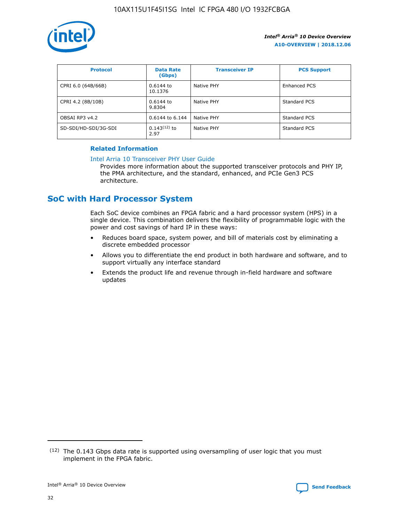

| <b>Protocol</b>      | <b>Data Rate</b><br>(Gbps) | <b>Transceiver IP</b> | <b>PCS Support</b> |
|----------------------|----------------------------|-----------------------|--------------------|
| CPRI 6.0 (64B/66B)   | 0.6144 to<br>10.1376       | Native PHY            | Enhanced PCS       |
| CPRI 4.2 (8B/10B)    | 0.6144 to<br>9.8304        | Native PHY            | Standard PCS       |
| OBSAI RP3 v4.2       | 0.6144 to 6.144            | Native PHY            | Standard PCS       |
| SD-SDI/HD-SDI/3G-SDI | $0.143(12)$ to<br>2.97     | Native PHY            | Standard PCS       |

## **Related Information**

#### [Intel Arria 10 Transceiver PHY User Guide](https://www.intel.com/content/www/us/en/programmable/documentation/nik1398707230472.html#nik1398707091164)

Provides more information about the supported transceiver protocols and PHY IP, the PMA architecture, and the standard, enhanced, and PCIe Gen3 PCS architecture.

# **SoC with Hard Processor System**

Each SoC device combines an FPGA fabric and a hard processor system (HPS) in a single device. This combination delivers the flexibility of programmable logic with the power and cost savings of hard IP in these ways:

- Reduces board space, system power, and bill of materials cost by eliminating a discrete embedded processor
- Allows you to differentiate the end product in both hardware and software, and to support virtually any interface standard
- Extends the product life and revenue through in-field hardware and software updates

 $(12)$  The 0.143 Gbps data rate is supported using oversampling of user logic that you must implement in the FPGA fabric.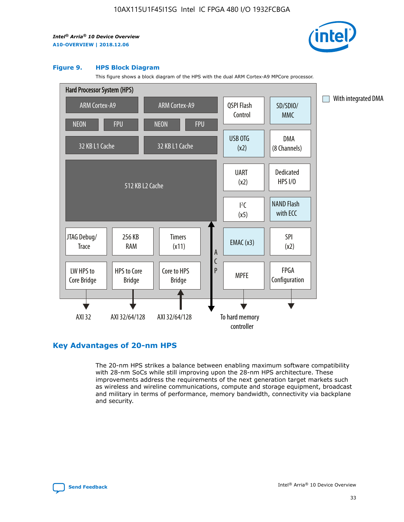

#### **Figure 9. HPS Block Diagram**

This figure shows a block diagram of the HPS with the dual ARM Cortex-A9 MPCore processor.



# **Key Advantages of 20-nm HPS**

The 20-nm HPS strikes a balance between enabling maximum software compatibility with 28-nm SoCs while still improving upon the 28-nm HPS architecture. These improvements address the requirements of the next generation target markets such as wireless and wireline communications, compute and storage equipment, broadcast and military in terms of performance, memory bandwidth, connectivity via backplane and security.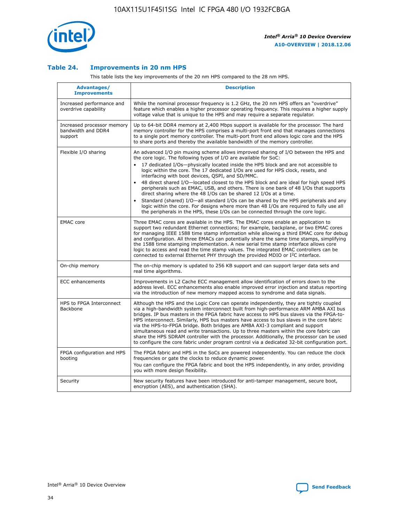

## **Table 24. Improvements in 20 nm HPS**

This table lists the key improvements of the 20 nm HPS compared to the 28 nm HPS.

| Advantages/<br><b>Improvements</b>                          | <b>Description</b>                                                                                                                                                                                                                                                                                                                                                                                                                                                                                                                                                                                                                                                                                                                                                                                                                                                                                                                                |
|-------------------------------------------------------------|---------------------------------------------------------------------------------------------------------------------------------------------------------------------------------------------------------------------------------------------------------------------------------------------------------------------------------------------------------------------------------------------------------------------------------------------------------------------------------------------------------------------------------------------------------------------------------------------------------------------------------------------------------------------------------------------------------------------------------------------------------------------------------------------------------------------------------------------------------------------------------------------------------------------------------------------------|
| Increased performance and<br>overdrive capability           | While the nominal processor frequency is 1.2 GHz, the 20 nm HPS offers an "overdrive"<br>feature which enables a higher processor operating frequency. This requires a higher supply<br>voltage value that is unique to the HPS and may require a separate regulator.                                                                                                                                                                                                                                                                                                                                                                                                                                                                                                                                                                                                                                                                             |
| Increased processor memory<br>bandwidth and DDR4<br>support | Up to 64-bit DDR4 memory at 2,400 Mbps support is available for the processor. The hard<br>memory controller for the HPS comprises a multi-port front end that manages connections<br>to a single port memory controller. The multi-port front end allows logic core and the HPS<br>to share ports and thereby the available bandwidth of the memory controller.                                                                                                                                                                                                                                                                                                                                                                                                                                                                                                                                                                                  |
| Flexible I/O sharing                                        | An advanced I/O pin muxing scheme allows improved sharing of I/O between the HPS and<br>the core logic. The following types of I/O are available for SoC:<br>$\bullet$<br>17 dedicated I/Os-physically located inside the HPS block and are not accessible to<br>logic within the core. The 17 dedicated I/Os are used for HPS clock, resets, and<br>interfacing with boot devices, QSPI, and SD/MMC.<br>48 direct shared I/O-located closest to the HPS block and are ideal for high speed HPS<br>$\bullet$<br>peripherals such as EMAC, USB, and others. There is one bank of 48 I/Os that supports<br>direct sharing where the 48 I/Os can be shared 12 I/Os at a time.<br>Standard (shared) I/O-all standard I/Os can be shared by the HPS peripherals and any<br>logic within the core. For designs where more than 48 I/Os are required to fully use all<br>the peripherals in the HPS, these I/Os can be connected through the core logic. |
| <b>EMAC</b> core                                            | Three EMAC cores are available in the HPS. The EMAC cores enable an application to<br>support two redundant Ethernet connections; for example, backplane, or two EMAC cores<br>for managing IEEE 1588 time stamp information while allowing a third EMAC core for debug<br>and configuration. All three EMACs can potentially share the same time stamps, simplifying<br>the 1588 time stamping implementation. A new serial time stamp interface allows core<br>logic to access and read the time stamp values. The integrated EMAC controllers can be<br>connected to external Ethernet PHY through the provided MDIO or I <sup>2</sup> C interface.                                                                                                                                                                                                                                                                                            |
| On-chip memory                                              | The on-chip memory is updated to 256 KB support and can support larger data sets and<br>real time algorithms.                                                                                                                                                                                                                                                                                                                                                                                                                                                                                                                                                                                                                                                                                                                                                                                                                                     |
| <b>ECC</b> enhancements                                     | Improvements in L2 Cache ECC management allow identification of errors down to the<br>address level. ECC enhancements also enable improved error injection and status reporting<br>via the introduction of new memory mapped access to syndrome and data signals.                                                                                                                                                                                                                                                                                                                                                                                                                                                                                                                                                                                                                                                                                 |
| HPS to FPGA Interconnect<br>Backbone                        | Although the HPS and the Logic Core can operate independently, they are tightly coupled<br>via a high-bandwidth system interconnect built from high-performance ARM AMBA AXI bus<br>bridges. IP bus masters in the FPGA fabric have access to HPS bus slaves via the FPGA-to-<br>HPS interconnect. Similarly, HPS bus masters have access to bus slaves in the core fabric<br>via the HPS-to-FPGA bridge. Both bridges are AMBA AXI-3 compliant and support<br>simultaneous read and write transactions. Up to three masters within the core fabric can<br>share the HPS SDRAM controller with the processor. Additionally, the processor can be used<br>to configure the core fabric under program control via a dedicated 32-bit configuration port.                                                                                                                                                                                            |
| FPGA configuration and HPS<br>booting                       | The FPGA fabric and HPS in the SoCs are powered independently. You can reduce the clock<br>frequencies or gate the clocks to reduce dynamic power.<br>You can configure the FPGA fabric and boot the HPS independently, in any order, providing<br>you with more design flexibility.                                                                                                                                                                                                                                                                                                                                                                                                                                                                                                                                                                                                                                                              |
| Security                                                    | New security features have been introduced for anti-tamper management, secure boot,<br>encryption (AES), and authentication (SHA).                                                                                                                                                                                                                                                                                                                                                                                                                                                                                                                                                                                                                                                                                                                                                                                                                |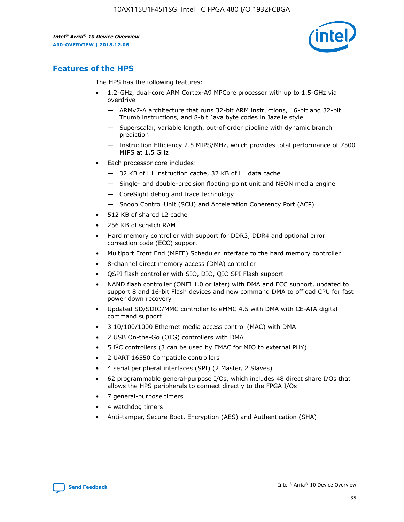

# **Features of the HPS**

The HPS has the following features:

- 1.2-GHz, dual-core ARM Cortex-A9 MPCore processor with up to 1.5-GHz via overdrive
	- ARMv7-A architecture that runs 32-bit ARM instructions, 16-bit and 32-bit Thumb instructions, and 8-bit Java byte codes in Jazelle style
	- Superscalar, variable length, out-of-order pipeline with dynamic branch prediction
	- Instruction Efficiency 2.5 MIPS/MHz, which provides total performance of 7500 MIPS at 1.5 GHz
- Each processor core includes:
	- 32 KB of L1 instruction cache, 32 KB of L1 data cache
	- Single- and double-precision floating-point unit and NEON media engine
	- CoreSight debug and trace technology
	- Snoop Control Unit (SCU) and Acceleration Coherency Port (ACP)
- 512 KB of shared L2 cache
- 256 KB of scratch RAM
- Hard memory controller with support for DDR3, DDR4 and optional error correction code (ECC) support
- Multiport Front End (MPFE) Scheduler interface to the hard memory controller
- 8-channel direct memory access (DMA) controller
- QSPI flash controller with SIO, DIO, QIO SPI Flash support
- NAND flash controller (ONFI 1.0 or later) with DMA and ECC support, updated to support 8 and 16-bit Flash devices and new command DMA to offload CPU for fast power down recovery
- Updated SD/SDIO/MMC controller to eMMC 4.5 with DMA with CE-ATA digital command support
- 3 10/100/1000 Ethernet media access control (MAC) with DMA
- 2 USB On-the-Go (OTG) controllers with DMA
- $\bullet$  5 I<sup>2</sup>C controllers (3 can be used by EMAC for MIO to external PHY)
- 2 UART 16550 Compatible controllers
- 4 serial peripheral interfaces (SPI) (2 Master, 2 Slaves)
- 62 programmable general-purpose I/Os, which includes 48 direct share I/Os that allows the HPS peripherals to connect directly to the FPGA I/Os
- 7 general-purpose timers
- 4 watchdog timers
- Anti-tamper, Secure Boot, Encryption (AES) and Authentication (SHA)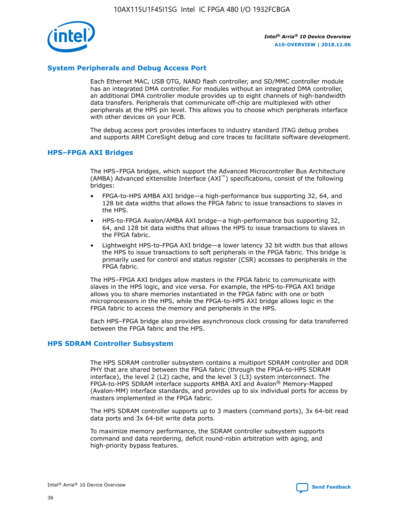

# **System Peripherals and Debug Access Port**

Each Ethernet MAC, USB OTG, NAND flash controller, and SD/MMC controller module has an integrated DMA controller. For modules without an integrated DMA controller, an additional DMA controller module provides up to eight channels of high-bandwidth data transfers. Peripherals that communicate off-chip are multiplexed with other peripherals at the HPS pin level. This allows you to choose which peripherals interface with other devices on your PCB.

The debug access port provides interfaces to industry standard JTAG debug probes and supports ARM CoreSight debug and core traces to facilitate software development.

#### **HPS–FPGA AXI Bridges**

The HPS–FPGA bridges, which support the Advanced Microcontroller Bus Architecture (AMBA) Advanced eXtensible Interface (AXI™) specifications, consist of the following bridges:

- FPGA-to-HPS AMBA AXI bridge—a high-performance bus supporting 32, 64, and 128 bit data widths that allows the FPGA fabric to issue transactions to slaves in the HPS.
- HPS-to-FPGA Avalon/AMBA AXI bridge—a high-performance bus supporting 32, 64, and 128 bit data widths that allows the HPS to issue transactions to slaves in the FPGA fabric.
- Lightweight HPS-to-FPGA AXI bridge—a lower latency 32 bit width bus that allows the HPS to issue transactions to soft peripherals in the FPGA fabric. This bridge is primarily used for control and status register (CSR) accesses to peripherals in the FPGA fabric.

The HPS–FPGA AXI bridges allow masters in the FPGA fabric to communicate with slaves in the HPS logic, and vice versa. For example, the HPS-to-FPGA AXI bridge allows you to share memories instantiated in the FPGA fabric with one or both microprocessors in the HPS, while the FPGA-to-HPS AXI bridge allows logic in the FPGA fabric to access the memory and peripherals in the HPS.

Each HPS–FPGA bridge also provides asynchronous clock crossing for data transferred between the FPGA fabric and the HPS.

#### **HPS SDRAM Controller Subsystem**

The HPS SDRAM controller subsystem contains a multiport SDRAM controller and DDR PHY that are shared between the FPGA fabric (through the FPGA-to-HPS SDRAM interface), the level 2 (L2) cache, and the level 3 (L3) system interconnect. The FPGA-to-HPS SDRAM interface supports AMBA AXI and Avalon® Memory-Mapped (Avalon-MM) interface standards, and provides up to six individual ports for access by masters implemented in the FPGA fabric.

The HPS SDRAM controller supports up to 3 masters (command ports), 3x 64-bit read data ports and 3x 64-bit write data ports.

To maximize memory performance, the SDRAM controller subsystem supports command and data reordering, deficit round-robin arbitration with aging, and high-priority bypass features.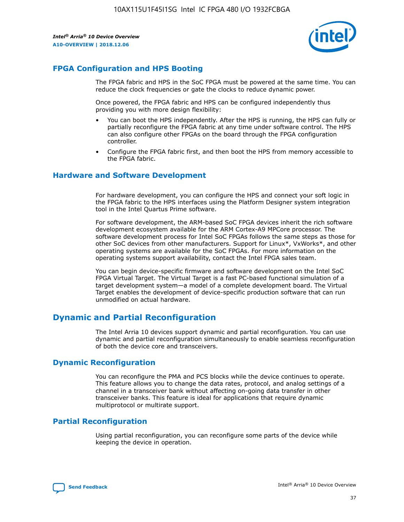

# **FPGA Configuration and HPS Booting**

The FPGA fabric and HPS in the SoC FPGA must be powered at the same time. You can reduce the clock frequencies or gate the clocks to reduce dynamic power.

Once powered, the FPGA fabric and HPS can be configured independently thus providing you with more design flexibility:

- You can boot the HPS independently. After the HPS is running, the HPS can fully or partially reconfigure the FPGA fabric at any time under software control. The HPS can also configure other FPGAs on the board through the FPGA configuration controller.
- Configure the FPGA fabric first, and then boot the HPS from memory accessible to the FPGA fabric.

## **Hardware and Software Development**

For hardware development, you can configure the HPS and connect your soft logic in the FPGA fabric to the HPS interfaces using the Platform Designer system integration tool in the Intel Quartus Prime software.

For software development, the ARM-based SoC FPGA devices inherit the rich software development ecosystem available for the ARM Cortex-A9 MPCore processor. The software development process for Intel SoC FPGAs follows the same steps as those for other SoC devices from other manufacturers. Support for Linux\*, VxWorks\*, and other operating systems are available for the SoC FPGAs. For more information on the operating systems support availability, contact the Intel FPGA sales team.

You can begin device-specific firmware and software development on the Intel SoC FPGA Virtual Target. The Virtual Target is a fast PC-based functional simulation of a target development system—a model of a complete development board. The Virtual Target enables the development of device-specific production software that can run unmodified on actual hardware.

# **Dynamic and Partial Reconfiguration**

The Intel Arria 10 devices support dynamic and partial reconfiguration. You can use dynamic and partial reconfiguration simultaneously to enable seamless reconfiguration of both the device core and transceivers.

# **Dynamic Reconfiguration**

You can reconfigure the PMA and PCS blocks while the device continues to operate. This feature allows you to change the data rates, protocol, and analog settings of a channel in a transceiver bank without affecting on-going data transfer in other transceiver banks. This feature is ideal for applications that require dynamic multiprotocol or multirate support.

# **Partial Reconfiguration**

Using partial reconfiguration, you can reconfigure some parts of the device while keeping the device in operation.

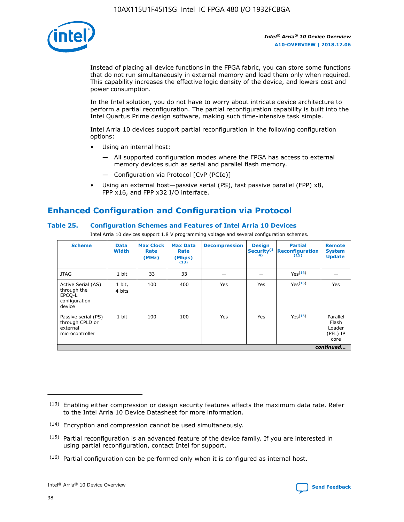

Instead of placing all device functions in the FPGA fabric, you can store some functions that do not run simultaneously in external memory and load them only when required. This capability increases the effective logic density of the device, and lowers cost and power consumption.

In the Intel solution, you do not have to worry about intricate device architecture to perform a partial reconfiguration. The partial reconfiguration capability is built into the Intel Quartus Prime design software, making such time-intensive task simple.

Intel Arria 10 devices support partial reconfiguration in the following configuration options:

- Using an internal host:
	- All supported configuration modes where the FPGA has access to external memory devices such as serial and parallel flash memory.
	- Configuration via Protocol [CvP (PCIe)]
- Using an external host—passive serial (PS), fast passive parallel (FPP) x8, FPP x16, and FPP x32 I/O interface.

# **Enhanced Configuration and Configuration via Protocol**

# **Table 25. Configuration Schemes and Features of Intel Arria 10 Devices**

Intel Arria 10 devices support 1.8 V programming voltage and several configuration schemes.

| <b>Scheme</b>                                                          | <b>Data</b><br><b>Width</b> | <b>Max Clock</b><br>Rate<br>(MHz) | <b>Max Data</b><br>Rate<br>(Mbps)<br>(13) | <b>Decompression</b> | <b>Design</b><br>Security <sup>(1</sup><br>4) | <b>Partial</b><br><b>Reconfiguration</b><br>(15) | <b>Remote</b><br><b>System</b><br><b>Update</b> |
|------------------------------------------------------------------------|-----------------------------|-----------------------------------|-------------------------------------------|----------------------|-----------------------------------------------|--------------------------------------------------|-------------------------------------------------|
| <b>JTAG</b>                                                            | 1 bit                       | 33                                | 33                                        |                      |                                               | Yes(16)                                          |                                                 |
| Active Serial (AS)<br>through the<br>EPCO-L<br>configuration<br>device | 1 bit,<br>4 bits            | 100                               | 400                                       | Yes                  | Yes                                           | $Y_{PS}(16)$                                     | Yes                                             |
| Passive serial (PS)<br>through CPLD or<br>external<br>microcontroller  | 1 bit                       | 100                               | 100                                       | Yes                  | Yes                                           | Yes(16)                                          | Parallel<br>Flash<br>Loader<br>(PFL) IP<br>core |
|                                                                        |                             |                                   |                                           |                      |                                               |                                                  | continued                                       |

<sup>(13)</sup> Enabling either compression or design security features affects the maximum data rate. Refer to the Intel Arria 10 Device Datasheet for more information.

<sup>(14)</sup> Encryption and compression cannot be used simultaneously.

 $<sup>(15)</sup>$  Partial reconfiguration is an advanced feature of the device family. If you are interested in</sup> using partial reconfiguration, contact Intel for support.

 $(16)$  Partial configuration can be performed only when it is configured as internal host.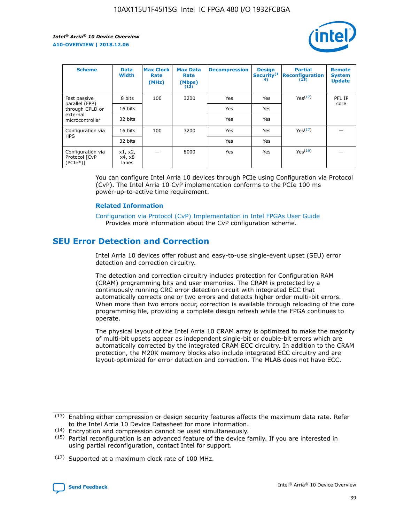

| <b>Scheme</b>                                   | <b>Data</b><br><b>Width</b> | <b>Max Clock</b><br>Rate<br>(MHz) | <b>Max Data</b><br>Rate<br>(Mbps)<br>(13) | <b>Decompression</b> | <b>Design</b><br>Security <sup>(1</sup><br>4) | <b>Partial</b><br><b>Reconfiguration</b><br>(15) | <b>Remote</b><br><b>System</b><br><b>Update</b> |
|-------------------------------------------------|-----------------------------|-----------------------------------|-------------------------------------------|----------------------|-----------------------------------------------|--------------------------------------------------|-------------------------------------------------|
| Fast passive                                    | 8 bits                      | 100                               | 3200                                      | Yes                  | Yes                                           | Yes(17)                                          | PFL IP                                          |
| parallel (FPP)<br>through CPLD or               | 16 bits                     |                                   |                                           | Yes                  | Yes                                           |                                                  | core                                            |
| external<br>microcontroller                     | 32 bits                     |                                   |                                           | Yes                  | Yes                                           |                                                  |                                                 |
| Configuration via                               | 16 bits                     | 100                               | 3200                                      | Yes                  | Yes                                           | Yes <sup>(17)</sup>                              |                                                 |
| <b>HPS</b>                                      | 32 bits                     |                                   |                                           | Yes                  | Yes                                           |                                                  |                                                 |
| Configuration via<br>Protocol [CvP<br>$(PCIe*)$ | x1, x2,<br>x4, x8<br>lanes  |                                   | 8000                                      | Yes                  | Yes                                           | Yes <sup>(16)</sup>                              |                                                 |

You can configure Intel Arria 10 devices through PCIe using Configuration via Protocol (CvP). The Intel Arria 10 CvP implementation conforms to the PCIe 100 ms power-up-to-active time requirement.

#### **Related Information**

[Configuration via Protocol \(CvP\) Implementation in Intel FPGAs User Guide](https://www.intel.com/content/www/us/en/programmable/documentation/dsu1441819344145.html#dsu1442269728522) Provides more information about the CvP configuration scheme.

# **SEU Error Detection and Correction**

Intel Arria 10 devices offer robust and easy-to-use single-event upset (SEU) error detection and correction circuitry.

The detection and correction circuitry includes protection for Configuration RAM (CRAM) programming bits and user memories. The CRAM is protected by a continuously running CRC error detection circuit with integrated ECC that automatically corrects one or two errors and detects higher order multi-bit errors. When more than two errors occur, correction is available through reloading of the core programming file, providing a complete design refresh while the FPGA continues to operate.

The physical layout of the Intel Arria 10 CRAM array is optimized to make the majority of multi-bit upsets appear as independent single-bit or double-bit errors which are automatically corrected by the integrated CRAM ECC circuitry. In addition to the CRAM protection, the M20K memory blocks also include integrated ECC circuitry and are layout-optimized for error detection and correction. The MLAB does not have ECC.

(14) Encryption and compression cannot be used simultaneously.

<sup>(17)</sup> Supported at a maximum clock rate of 100 MHz.



 $(13)$  Enabling either compression or design security features affects the maximum data rate. Refer to the Intel Arria 10 Device Datasheet for more information.

 $(15)$  Partial reconfiguration is an advanced feature of the device family. If you are interested in using partial reconfiguration, contact Intel for support.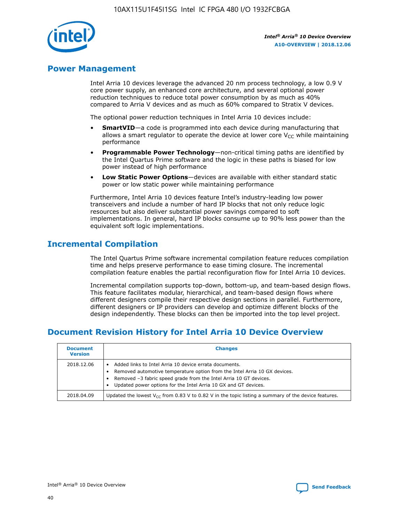

# **Power Management**

Intel Arria 10 devices leverage the advanced 20 nm process technology, a low 0.9 V core power supply, an enhanced core architecture, and several optional power reduction techniques to reduce total power consumption by as much as 40% compared to Arria V devices and as much as 60% compared to Stratix V devices.

The optional power reduction techniques in Intel Arria 10 devices include:

- **SmartVID**—a code is programmed into each device during manufacturing that allows a smart regulator to operate the device at lower core  $V_{CC}$  while maintaining performance
- **Programmable Power Technology**—non-critical timing paths are identified by the Intel Quartus Prime software and the logic in these paths is biased for low power instead of high performance
- **Low Static Power Options**—devices are available with either standard static power or low static power while maintaining performance

Furthermore, Intel Arria 10 devices feature Intel's industry-leading low power transceivers and include a number of hard IP blocks that not only reduce logic resources but also deliver substantial power savings compared to soft implementations. In general, hard IP blocks consume up to 90% less power than the equivalent soft logic implementations.

# **Incremental Compilation**

The Intel Quartus Prime software incremental compilation feature reduces compilation time and helps preserve performance to ease timing closure. The incremental compilation feature enables the partial reconfiguration flow for Intel Arria 10 devices.

Incremental compilation supports top-down, bottom-up, and team-based design flows. This feature facilitates modular, hierarchical, and team-based design flows where different designers compile their respective design sections in parallel. Furthermore, different designers or IP providers can develop and optimize different blocks of the design independently. These blocks can then be imported into the top level project.

# **Document Revision History for Intel Arria 10 Device Overview**

| <b>Document</b><br><b>Version</b> | <b>Changes</b>                                                                                                                                                                                                                                                              |
|-----------------------------------|-----------------------------------------------------------------------------------------------------------------------------------------------------------------------------------------------------------------------------------------------------------------------------|
| 2018.12.06                        | Added links to Intel Arria 10 device errata documents.<br>Removed automotive temperature option from the Intel Arria 10 GX devices.<br>Removed -3 fabric speed grade from the Intel Arria 10 GT devices.<br>Updated power options for the Intel Arria 10 GX and GT devices. |
| 2018.04.09                        | Updated the lowest $V_{CC}$ from 0.83 V to 0.82 V in the topic listing a summary of the device features.                                                                                                                                                                    |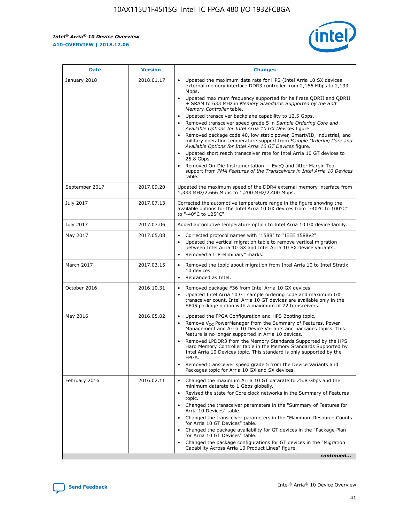

| <b>Date</b>    | <b>Version</b> | <b>Changes</b>                                                                                                                                                                                                                                                                                                                                                                                                                                                                                                                                                                                                                                                                                                                                                                                                                                                                                                                                               |
|----------------|----------------|--------------------------------------------------------------------------------------------------------------------------------------------------------------------------------------------------------------------------------------------------------------------------------------------------------------------------------------------------------------------------------------------------------------------------------------------------------------------------------------------------------------------------------------------------------------------------------------------------------------------------------------------------------------------------------------------------------------------------------------------------------------------------------------------------------------------------------------------------------------------------------------------------------------------------------------------------------------|
| January 2018   | 2018.01.17     | Updated the maximum data rate for HPS (Intel Arria 10 SX devices<br>external memory interface DDR3 controller from 2,166 Mbps to 2,133<br>Mbps.<br>Updated maximum frequency supported for half rate QDRII and QDRII<br>+ SRAM to 633 MHz in Memory Standards Supported by the Soft<br>Memory Controller table.<br>Updated transceiver backplane capability to 12.5 Gbps.<br>Removed transceiver speed grade 5 in Sample Ordering Core and<br>Available Options for Intel Arria 10 GX Devices figure.<br>Removed package code 40, low static power, SmartVID, industrial, and<br>military operating temperature support from Sample Ordering Core and<br>Available Options for Intel Arria 10 GT Devices figure.<br>Updated short reach transceiver rate for Intel Arria 10 GT devices to<br>25.8 Gbps.<br>Removed On-Die Instrumentation - EyeQ and Jitter Margin Tool<br>support from PMA Features of the Transceivers in Intel Arria 10 Devices<br>table. |
| September 2017 | 2017.09.20     | Updated the maximum speed of the DDR4 external memory interface from<br>1,333 MHz/2,666 Mbps to 1,200 MHz/2,400 Mbps.                                                                                                                                                                                                                                                                                                                                                                                                                                                                                                                                                                                                                                                                                                                                                                                                                                        |
| July 2017      | 2017.07.13     | Corrected the automotive temperature range in the figure showing the<br>available options for the Intel Arria 10 GX devices from "-40°C to 100°C"<br>to "-40°C to 125°C".                                                                                                                                                                                                                                                                                                                                                                                                                                                                                                                                                                                                                                                                                                                                                                                    |
| July 2017      | 2017.07.06     | Added automotive temperature option to Intel Arria 10 GX device family.                                                                                                                                                                                                                                                                                                                                                                                                                                                                                                                                                                                                                                                                                                                                                                                                                                                                                      |
| May 2017       | 2017.05.08     | Corrected protocol names with "1588" to "IEEE 1588v2".<br>Updated the vertical migration table to remove vertical migration<br>$\bullet$<br>between Intel Arria 10 GX and Intel Arria 10 SX device variants.<br>Removed all "Preliminary" marks.                                                                                                                                                                                                                                                                                                                                                                                                                                                                                                                                                                                                                                                                                                             |
| March 2017     | 2017.03.15     | Removed the topic about migration from Intel Arria 10 to Intel Stratix<br>10 devices.<br>Rebranded as Intel.<br>$\bullet$                                                                                                                                                                                                                                                                                                                                                                                                                                                                                                                                                                                                                                                                                                                                                                                                                                    |
| October 2016   | 2016.10.31     | Removed package F36 from Intel Arria 10 GX devices.<br>Updated Intel Arria 10 GT sample ordering code and maximum GX<br>$\bullet$<br>transceiver count. Intel Arria 10 GT devices are available only in the<br>SF45 package option with a maximum of 72 transceivers.                                                                                                                                                                                                                                                                                                                                                                                                                                                                                                                                                                                                                                                                                        |
| May 2016       | 2016.05.02     | Updated the FPGA Configuration and HPS Booting topic.<br>$\bullet$<br>Remove V <sub>CC</sub> PowerManager from the Summary of Features, Power<br>Management and Arria 10 Device Variants and packages topics. This<br>feature is no longer supported in Arria 10 devices.<br>Removed LPDDR3 from the Memory Standards Supported by the HPS<br>Hard Memory Controller table in the Memory Standards Supported by<br>Intel Arria 10 Devices topic. This standard is only supported by the<br>FPGA.<br>Removed transceiver speed grade 5 from the Device Variants and<br>Packages topic for Arria 10 GX and SX devices.                                                                                                                                                                                                                                                                                                                                         |
| February 2016  | 2016.02.11     | Changed the maximum Arria 10 GT datarate to 25.8 Gbps and the<br>minimum datarate to 1 Gbps globally.<br>Revised the state for Core clock networks in the Summary of Features<br>topic.<br>Changed the transceiver parameters in the "Summary of Features for<br>Arria 10 Devices" table.<br>Changed the transceiver parameters in the "Maximum Resource Counts"<br>for Arria 10 GT Devices" table.<br>Changed the package availability for GT devices in the "Package Plan<br>for Arria 10 GT Devices" table.<br>Changed the package configurations for GT devices in the "Migration"<br>Capability Across Arria 10 Product Lines" figure.<br>continued                                                                                                                                                                                                                                                                                                     |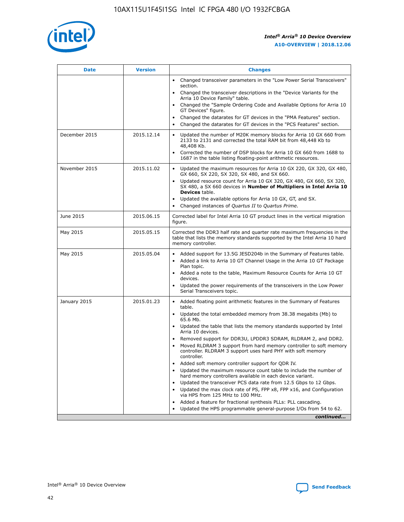

| <b>Date</b>   | <b>Version</b> | <b>Changes</b>                                                                                                                                                               |
|---------------|----------------|------------------------------------------------------------------------------------------------------------------------------------------------------------------------------|
|               |                | • Changed transceiver parameters in the "Low Power Serial Transceivers"<br>section.                                                                                          |
|               |                | • Changed the transceiver descriptions in the "Device Variants for the<br>Arria 10 Device Family" table.                                                                     |
|               |                | Changed the "Sample Ordering Code and Available Options for Arria 10<br>$\bullet$<br>GT Devices" figure.                                                                     |
|               |                | Changed the datarates for GT devices in the "PMA Features" section.                                                                                                          |
|               |                | Changed the datarates for GT devices in the "PCS Features" section.<br>$\bullet$                                                                                             |
| December 2015 | 2015.12.14     | Updated the number of M20K memory blocks for Arria 10 GX 660 from<br>2133 to 2131 and corrected the total RAM bit from 48,448 Kb to<br>48,408 Kb.                            |
|               |                | Corrected the number of DSP blocks for Arria 10 GX 660 from 1688 to<br>1687 in the table listing floating-point arithmetic resources.                                        |
| November 2015 | 2015.11.02     | Updated the maximum resources for Arria 10 GX 220, GX 320, GX 480,<br>$\bullet$<br>GX 660, SX 220, SX 320, SX 480, and SX 660.                                               |
|               |                | • Updated resource count for Arria 10 GX 320, GX 480, GX 660, SX 320,<br>SX 480, a SX 660 devices in Number of Multipliers in Intel Arria 10<br><b>Devices</b> table.        |
|               |                | Updated the available options for Arria 10 GX, GT, and SX.                                                                                                                   |
|               |                | Changed instances of Quartus II to Quartus Prime.<br>$\bullet$                                                                                                               |
| June 2015     | 2015.06.15     | Corrected label for Intel Arria 10 GT product lines in the vertical migration<br>figure.                                                                                     |
| May 2015      | 2015.05.15     | Corrected the DDR3 half rate and quarter rate maximum frequencies in the<br>table that lists the memory standards supported by the Intel Arria 10 hard<br>memory controller. |
| May 2015      | 2015.05.04     | • Added support for 13.5G JESD204b in the Summary of Features table.                                                                                                         |
|               |                | • Added a link to Arria 10 GT Channel Usage in the Arria 10 GT Package<br>Plan topic.                                                                                        |
|               |                | • Added a note to the table, Maximum Resource Counts for Arria 10 GT<br>devices.                                                                                             |
|               |                | • Updated the power requirements of the transceivers in the Low Power<br>Serial Transceivers topic.                                                                          |
| January 2015  | 2015.01.23     | • Added floating point arithmetic features in the Summary of Features<br>table.                                                                                              |
|               |                | • Updated the total embedded memory from 38.38 megabits (Mb) to<br>65.6 Mb.                                                                                                  |
|               |                | • Updated the table that lists the memory standards supported by Intel<br>Arria 10 devices.                                                                                  |
|               |                | Removed support for DDR3U, LPDDR3 SDRAM, RLDRAM 2, and DDR2.                                                                                                                 |
|               |                | Moved RLDRAM 3 support from hard memory controller to soft memory<br>controller. RLDRAM 3 support uses hard PHY with soft memory<br>controller.                              |
|               |                | Added soft memory controller support for QDR IV.<br>٠                                                                                                                        |
|               |                | Updated the maximum resource count table to include the number of<br>hard memory controllers available in each device variant.                                               |
|               |                | Updated the transceiver PCS data rate from 12.5 Gbps to 12 Gbps.<br>$\bullet$                                                                                                |
|               |                | Updated the max clock rate of PS, FPP x8, FPP x16, and Configuration<br>via HPS from 125 MHz to 100 MHz.                                                                     |
|               |                | Added a feature for fractional synthesis PLLs: PLL cascading.                                                                                                                |
|               |                | Updated the HPS programmable general-purpose I/Os from 54 to 62.<br>$\bullet$                                                                                                |
|               |                | continued                                                                                                                                                                    |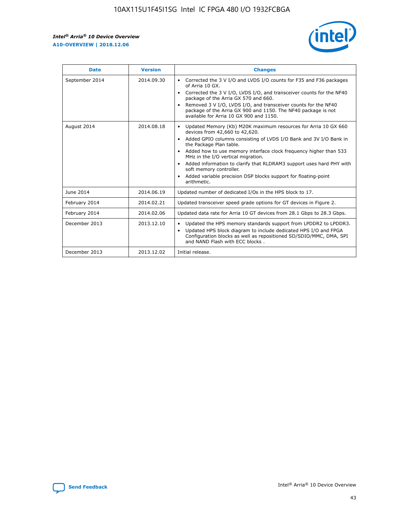r



| <b>Date</b>    | <b>Version</b> | <b>Changes</b>                                                                                                                                                                                                                                                                                                                                                                                                                                                                                                                                      |
|----------------|----------------|-----------------------------------------------------------------------------------------------------------------------------------------------------------------------------------------------------------------------------------------------------------------------------------------------------------------------------------------------------------------------------------------------------------------------------------------------------------------------------------------------------------------------------------------------------|
| September 2014 | 2014.09.30     | Corrected the 3 V I/O and LVDS I/O counts for F35 and F36 packages<br>$\bullet$<br>of Arria 10 GX.<br>Corrected the 3 V I/O, LVDS I/O, and transceiver counts for the NF40<br>$\bullet$<br>package of the Arria GX 570 and 660.<br>Removed 3 V I/O, LVDS I/O, and transceiver counts for the NF40<br>package of the Arria GX 900 and 1150. The NF40 package is not<br>available for Arria 10 GX 900 and 1150.                                                                                                                                       |
| August 2014    | 2014.08.18     | Updated Memory (Kb) M20K maximum resources for Arria 10 GX 660<br>devices from 42,660 to 42,620.<br>Added GPIO columns consisting of LVDS I/O Bank and 3V I/O Bank in<br>$\bullet$<br>the Package Plan table.<br>Added how to use memory interface clock frequency higher than 533<br>$\bullet$<br>MHz in the I/O vertical migration.<br>Added information to clarify that RLDRAM3 support uses hard PHY with<br>$\bullet$<br>soft memory controller.<br>Added variable precision DSP blocks support for floating-point<br>$\bullet$<br>arithmetic. |
| June 2014      | 2014.06.19     | Updated number of dedicated I/Os in the HPS block to 17.                                                                                                                                                                                                                                                                                                                                                                                                                                                                                            |
| February 2014  | 2014.02.21     | Updated transceiver speed grade options for GT devices in Figure 2.                                                                                                                                                                                                                                                                                                                                                                                                                                                                                 |
| February 2014  | 2014.02.06     | Updated data rate for Arria 10 GT devices from 28.1 Gbps to 28.3 Gbps.                                                                                                                                                                                                                                                                                                                                                                                                                                                                              |
| December 2013  | 2013.12.10     | Updated the HPS memory standards support from LPDDR2 to LPDDR3.<br>Updated HPS block diagram to include dedicated HPS I/O and FPGA<br>$\bullet$<br>Configuration blocks as well as repositioned SD/SDIO/MMC, DMA, SPI<br>and NAND Flash with ECC blocks.                                                                                                                                                                                                                                                                                            |
| December 2013  | 2013.12.02     | Initial release.                                                                                                                                                                                                                                                                                                                                                                                                                                                                                                                                    |